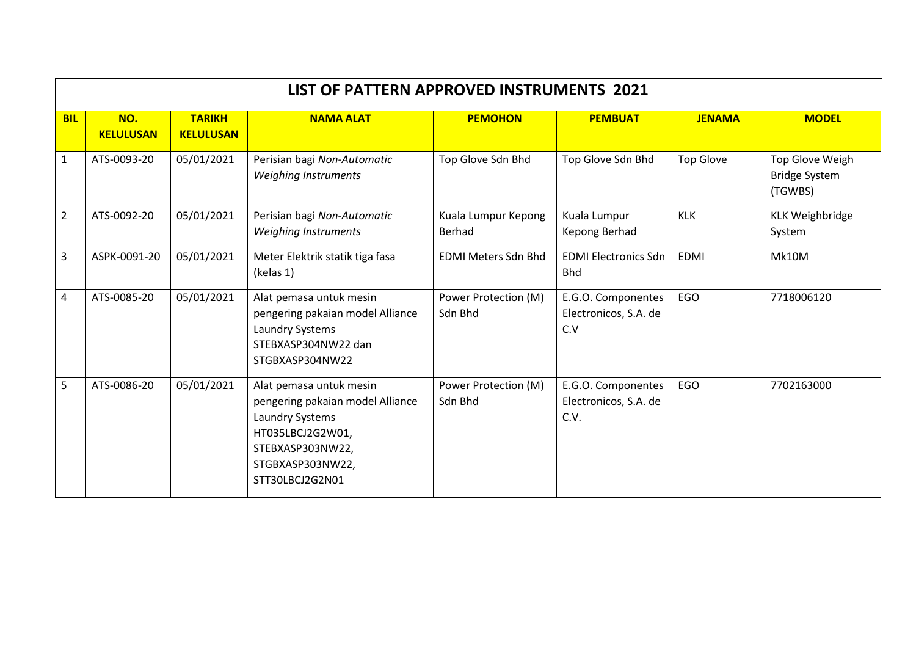|                | LIST OF PATTERN APPROVED INSTRUMENTS 2021 |                                   |                                                                                                                                                               |                                 |                                                     |                  |                                                    |  |  |  |
|----------------|-------------------------------------------|-----------------------------------|---------------------------------------------------------------------------------------------------------------------------------------------------------------|---------------------------------|-----------------------------------------------------|------------------|----------------------------------------------------|--|--|--|
| <b>BIL</b>     | NO.<br><b>KELULUSAN</b>                   | <b>TARIKH</b><br><b>KELULUSAN</b> | <b>NAMA ALAT</b>                                                                                                                                              | <b>PEMOHON</b>                  | <b>PEMBUAT</b>                                      | <b>JENAMA</b>    | <b>MODEL</b>                                       |  |  |  |
| $\mathbf{1}$   | ATS-0093-20                               | 05/01/2021                        | Perisian bagi Non-Automatic<br>Weighing Instruments                                                                                                           | Top Glove Sdn Bhd               | Top Glove Sdn Bhd                                   | <b>Top Glove</b> | Top Glove Weigh<br><b>Bridge System</b><br>(TGWBS) |  |  |  |
| $\overline{2}$ | ATS-0092-20                               | 05/01/2021                        | Perisian bagi Non-Automatic<br>Weighing Instruments                                                                                                           | Kuala Lumpur Kepong<br>Berhad   | Kuala Lumpur<br>Kepong Berhad                       | <b>KLK</b>       | <b>KLK Weighbridge</b><br>System                   |  |  |  |
| 3              | ASPK-0091-20                              | 05/01/2021                        | Meter Elektrik statik tiga fasa<br>(kelas 1)                                                                                                                  | <b>EDMI Meters Sdn Bhd</b>      | <b>EDMI Electronics Sdn</b><br><b>Bhd</b>           | <b>EDMI</b>      | Mk10M                                              |  |  |  |
| 4              | ATS-0085-20                               | 05/01/2021                        | Alat pemasa untuk mesin<br>pengering pakaian model Alliance<br>Laundry Systems<br>STEBXASP304NW22 dan<br>STGBXASP304NW22                                      | Power Protection (M)<br>Sdn Bhd | E.G.O. Componentes<br>Electronicos, S.A. de<br>C.V  | EGO              | 7718006120                                         |  |  |  |
| 5              | ATS-0086-20                               | 05/01/2021                        | Alat pemasa untuk mesin<br>pengering pakaian model Alliance<br>Laundry Systems<br>HT035LBCJ2G2W01,<br>STEBXASP303NW22,<br>STGBXASP303NW22,<br>STT30LBCJ2G2N01 | Power Protection (M)<br>Sdn Bhd | E.G.O. Componentes<br>Electronicos, S.A. de<br>C.V. | EGO              | 7702163000                                         |  |  |  |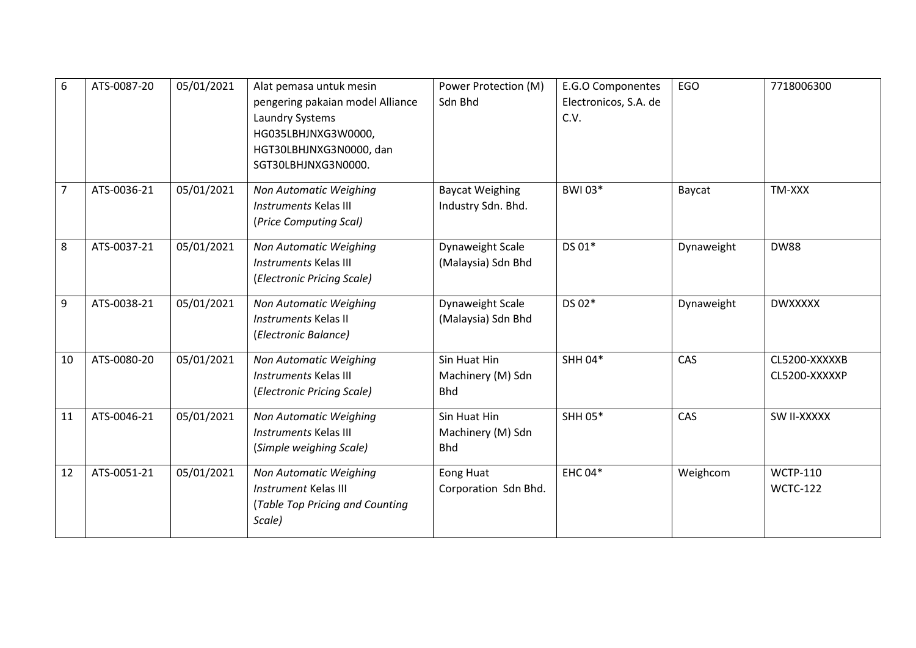| 6  | ATS-0087-20 | 05/01/2021 | Alat pemasa untuk mesin<br>pengering pakaian model Alliance<br>Laundry Systems<br>HG035LBHJNXG3W0000,<br>HGT30LBHJNXG3N0000, dan<br>SGT30LBHJNXG3N0000. | Power Protection (M)<br>Sdn Bhd                 | E.G.O Componentes<br>Electronicos, S.A. de<br>C.V. | EGO        | 7718006300                         |
|----|-------------|------------|---------------------------------------------------------------------------------------------------------------------------------------------------------|-------------------------------------------------|----------------------------------------------------|------------|------------------------------------|
| 7  | ATS-0036-21 | 05/01/2021 | Non Automatic Weighing<br><b>Instruments Kelas III</b><br>(Price Computing Scal)                                                                        | <b>Baycat Weighing</b><br>Industry Sdn. Bhd.    | BWI 03*                                            | Baycat     | TM-XXX                             |
| 8  | ATS-0037-21 | 05/01/2021 | Non Automatic Weighing<br><b>Instruments Kelas III</b><br>(Electronic Pricing Scale)                                                                    | Dynaweight Scale<br>(Malaysia) Sdn Bhd          | DS 01*                                             | Dynaweight | <b>DW88</b>                        |
| 9  | ATS-0038-21 | 05/01/2021 | Non Automatic Weighing<br>Instruments Kelas II<br>(Electronic Balance)                                                                                  | Dynaweight Scale<br>(Malaysia) Sdn Bhd          | DS 02*                                             | Dynaweight | <b>DWXXXXX</b>                     |
| 10 | ATS-0080-20 | 05/01/2021 | Non Automatic Weighing<br><b>Instruments Kelas III</b><br>(Electronic Pricing Scale)                                                                    | Sin Huat Hin<br>Machinery (M) Sdn<br><b>Bhd</b> | SHH 04*                                            | CAS        | CL5200-XXXXXB<br>CL5200-XXXXXP     |
| 11 | ATS-0046-21 | 05/01/2021 | Non Automatic Weighing<br><b>Instruments Kelas III</b><br>(Simple weighing Scale)                                                                       | Sin Huat Hin<br>Machinery (M) Sdn<br><b>Bhd</b> | SHH 05*                                            | CAS        | SW II-XXXXX                        |
| 12 | ATS-0051-21 | 05/01/2021 | Non Automatic Weighing<br><b>Instrument Kelas III</b><br>(Table Top Pricing and Counting<br>Scale)                                                      | <b>Eong Huat</b><br>Corporation Sdn Bhd.        | <b>EHC 04*</b>                                     | Weighcom   | <b>WCTP-110</b><br><b>WCTC-122</b> |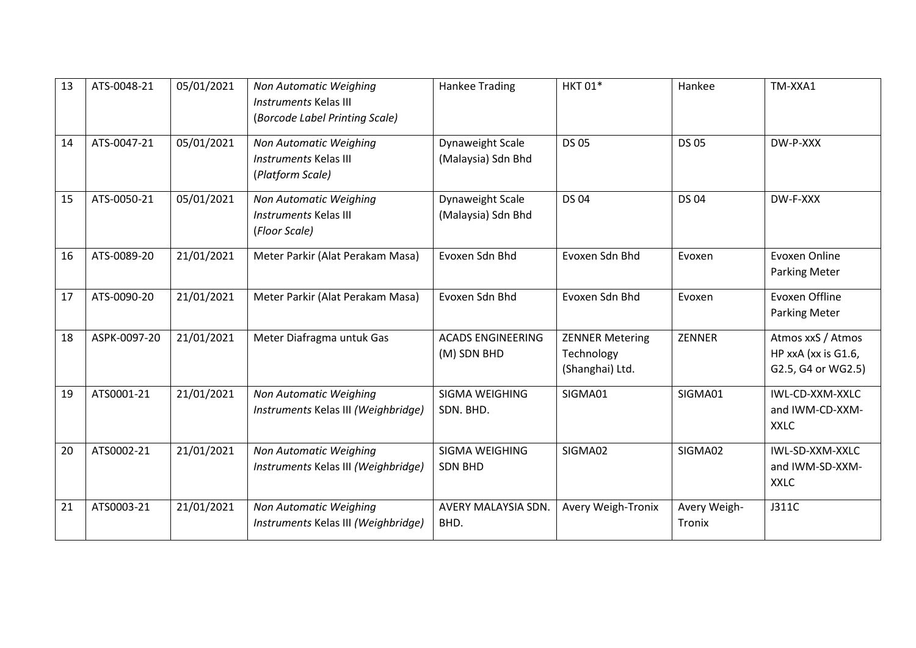| 13 | ATS-0048-21  | 05/01/2021 | Non Automatic Weighing<br><b>Instruments Kelas III</b><br>(Borcode Label Printing Scale) | <b>Hankee Trading</b>                   | <b>HKT 01*</b>                                          | Hankee                 | TM-XXA1                                                        |
|----|--------------|------------|------------------------------------------------------------------------------------------|-----------------------------------------|---------------------------------------------------------|------------------------|----------------------------------------------------------------|
| 14 | ATS-0047-21  | 05/01/2021 | Non Automatic Weighing<br><b>Instruments Kelas III</b><br>(Platform Scale)               | Dynaweight Scale<br>(Malaysia) Sdn Bhd  | <b>DS 05</b>                                            | <b>DS 05</b>           | DW-P-XXX                                                       |
| 15 | ATS-0050-21  | 05/01/2021 | Non Automatic Weighing<br>Instruments Kelas III<br>(Floor Scale)                         | Dynaweight Scale<br>(Malaysia) Sdn Bhd  | <b>DS 04</b>                                            | <b>DS 04</b>           | DW-F-XXX                                                       |
| 16 | ATS-0089-20  | 21/01/2021 | Meter Parkir (Alat Perakam Masa)                                                         | Evoxen Sdn Bhd                          | Evoxen Sdn Bhd                                          | Evoxen                 | <b>Evoxen Online</b><br><b>Parking Meter</b>                   |
| 17 | ATS-0090-20  | 21/01/2021 | Meter Parkir (Alat Perakam Masa)                                                         | Evoxen Sdn Bhd                          | Evoxen Sdn Bhd                                          | Evoxen                 | Evoxen Offline<br><b>Parking Meter</b>                         |
| 18 | ASPK-0097-20 | 21/01/2021 | Meter Diafragma untuk Gas                                                                | <b>ACADS ENGINEERING</b><br>(M) SDN BHD | <b>ZENNER Metering</b><br>Technology<br>(Shanghai) Ltd. | ZENNER                 | Atmos xxS / Atmos<br>HP xxA (xx is G1.6,<br>G2.5, G4 or WG2.5) |
| 19 | ATS0001-21   | 21/01/2021 | Non Automatic Weighing<br>Instruments Kelas III (Weighbridge)                            | SIGMA WEIGHING<br>SDN. BHD.             | SIGMA01                                                 | SIGMA01                | IWL-CD-XXM-XXLC<br>and IWM-CD-XXM-<br><b>XXLC</b>              |
| 20 | ATS0002-21   | 21/01/2021 | Non Automatic Weighing<br>Instruments Kelas III (Weighbridge)                            | SIGMA WEIGHING<br><b>SDN BHD</b>        | SIGMA02                                                 | SIGMA02                | IWL-SD-XXM-XXLC<br>and IWM-SD-XXM-<br><b>XXLC</b>              |
| 21 | ATS0003-21   | 21/01/2021 | Non Automatic Weighing<br>Instruments Kelas III (Weighbridge)                            | AVERY MALAYSIA SDN.<br>BHD.             | Avery Weigh-Tronix                                      | Avery Weigh-<br>Tronix | J311C                                                          |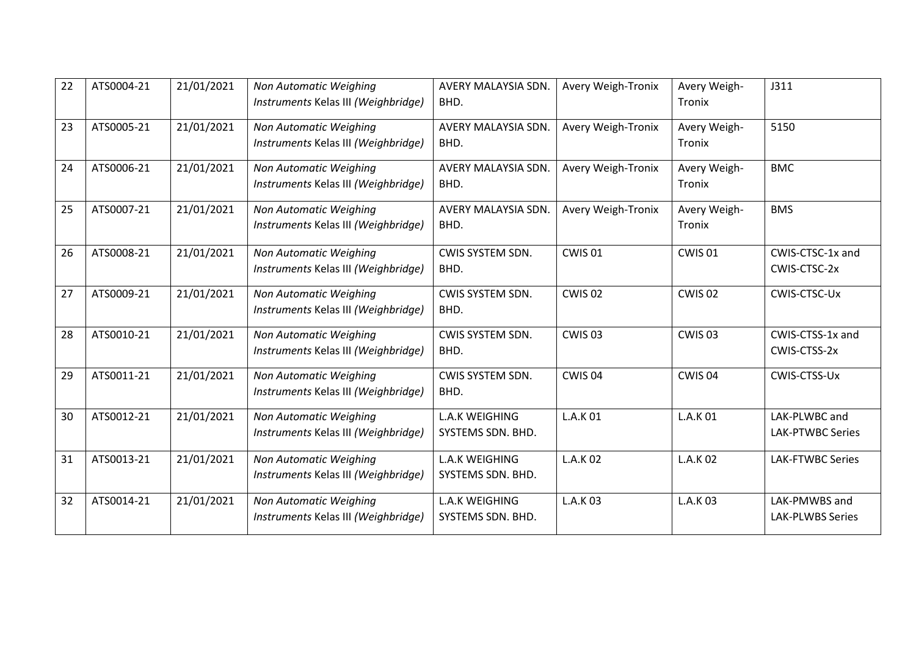| 22 | ATS0004-21 | 21/01/2021 | Non Automatic Weighing<br>Instruments Kelas III (Weighbridge) | AVERY MALAYSIA SDN.<br>BHD.                | <b>Avery Weigh-Tronix</b> | Avery Weigh-<br>Tronix | J311                                     |
|----|------------|------------|---------------------------------------------------------------|--------------------------------------------|---------------------------|------------------------|------------------------------------------|
| 23 | ATS0005-21 | 21/01/2021 | Non Automatic Weighing<br>Instruments Kelas III (Weighbridge) | <b>AVERY MALAYSIA SDN.</b><br>BHD.         | <b>Avery Weigh-Tronix</b> | Avery Weigh-<br>Tronix | 5150                                     |
| 24 | ATS0006-21 | 21/01/2021 | Non Automatic Weighing<br>Instruments Kelas III (Weighbridge) | AVERY MALAYSIA SDN.<br>BHD.                | <b>Avery Weigh-Tronix</b> | Avery Weigh-<br>Tronix | <b>BMC</b>                               |
| 25 | ATS0007-21 | 21/01/2021 | Non Automatic Weighing<br>Instruments Kelas III (Weighbridge) | AVERY MALAYSIA SDN.<br>BHD.                | <b>Avery Weigh-Tronix</b> | Avery Weigh-<br>Tronix | <b>BMS</b>                               |
| 26 | ATS0008-21 | 21/01/2021 | Non Automatic Weighing<br>Instruments Kelas III (Weighbridge) | CWIS SYSTEM SDN.<br>BHD.                   | <b>CWIS 01</b>            | <b>CWIS 01</b>         | CWIS-CTSC-1x and<br>CWIS-CTSC-2x         |
| 27 | ATS0009-21 | 21/01/2021 | Non Automatic Weighing<br>Instruments Kelas III (Weighbridge) | CWIS SYSTEM SDN.<br>BHD.                   | CWIS <sub>02</sub>        | CWIS 02                | CWIS-CTSC-Ux                             |
| 28 | ATS0010-21 | 21/01/2021 | Non Automatic Weighing<br>Instruments Kelas III (Weighbridge) | CWIS SYSTEM SDN.<br>BHD.                   | CWIS <sub>03</sub>        | CWIS <sub>03</sub>     | CWIS-CTSS-1x and<br>CWIS-CTSS-2x         |
| 29 | ATS0011-21 | 21/01/2021 | Non Automatic Weighing<br>Instruments Kelas III (Weighbridge) | CWIS SYSTEM SDN.<br>BHD.                   | CWIS 04                   | CWIS 04                | CWIS-CTSS-Ux                             |
| 30 | ATS0012-21 | 21/01/2021 | Non Automatic Weighing<br>Instruments Kelas III (Weighbridge) | <b>L.A.K WEIGHING</b><br>SYSTEMS SDN. BHD. | L.A.K 01                  | L.A.K 01               | LAK-PLWBC and<br>LAK-PTWBC Series        |
| 31 | ATS0013-21 | 21/01/2021 | Non Automatic Weighing<br>Instruments Kelas III (Weighbridge) | <b>L.A.K WEIGHING</b><br>SYSTEMS SDN. BHD. | L.A.K 02                  | L.A.K 02               | <b>LAK-FTWBC Series</b>                  |
| 32 | ATS0014-21 | 21/01/2021 | Non Automatic Weighing<br>Instruments Kelas III (Weighbridge) | <b>L.A.K WEIGHING</b><br>SYSTEMS SDN. BHD. | L.A.K 03                  | L.A.K 03               | LAK-PMWBS and<br><b>LAK-PLWBS Series</b> |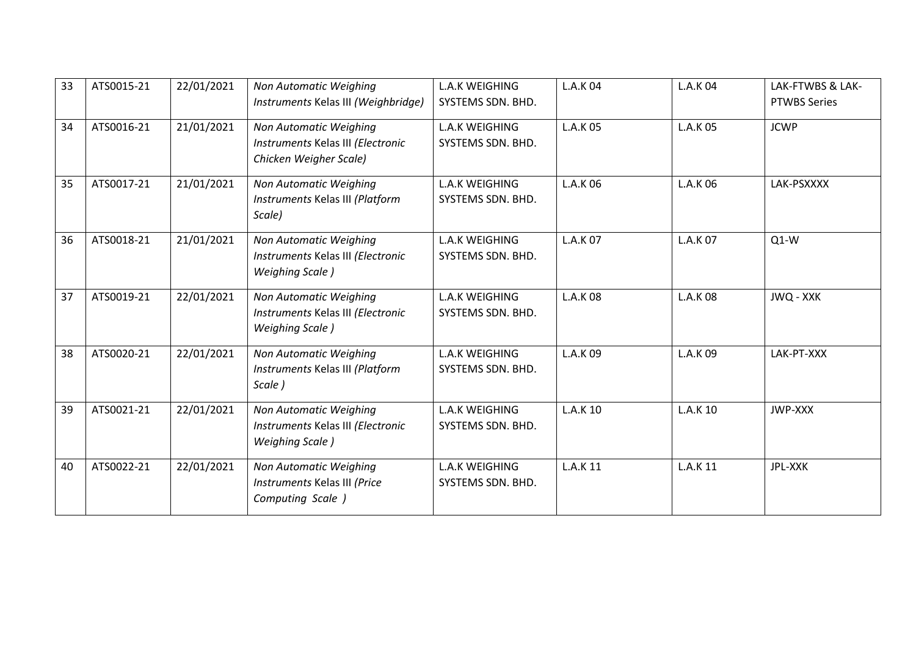| 33 | ATS0015-21 | 22/01/2021 | Non Automatic Weighing<br>Instruments Kelas III (Weighbridge)                          | <b>L.A.K WEIGHING</b><br>SYSTEMS SDN. BHD. | L.A.K 04        | L.A.K 04        | LAK-FTWBS & LAK-<br><b>PTWBS Series</b> |
|----|------------|------------|----------------------------------------------------------------------------------------|--------------------------------------------|-----------------|-----------------|-----------------------------------------|
| 34 | ATS0016-21 | 21/01/2021 | Non Automatic Weighing<br>Instruments Kelas III (Electronic<br>Chicken Weigher Scale)  | <b>L.A.K WEIGHING</b><br>SYSTEMS SDN. BHD. | L.A.K 05        | L.A.K 05        | <b>JCWP</b>                             |
| 35 | ATS0017-21 | 21/01/2021 | Non Automatic Weighing<br>Instruments Kelas III (Platform<br>Scale)                    | <b>L.A.K WEIGHING</b><br>SYSTEMS SDN. BHD. | L.A.K 06        | L.A.K 06        | LAK-PSXXXX                              |
| 36 | ATS0018-21 | 21/01/2021 | Non Automatic Weighing<br>Instruments Kelas III (Electronic<br><b>Weighing Scale</b> ) | <b>L.A.K WEIGHING</b><br>SYSTEMS SDN. BHD. | L.A.K 07        | L.A.K 07        | $Q1-W$                                  |
| 37 | ATS0019-21 | 22/01/2021 | Non Automatic Weighing<br>Instruments Kelas III (Electronic<br><b>Weighing Scale</b> ) | <b>L.A.K WEIGHING</b><br>SYSTEMS SDN. BHD. | L.A.K 08        | <b>L.A.K 08</b> | JWQ - XXK                               |
| 38 | ATS0020-21 | 22/01/2021 | Non Automatic Weighing<br>Instruments Kelas III (Platform<br>Scale)                    | <b>L.A.K WEIGHING</b><br>SYSTEMS SDN. BHD. | L.A.K 09        | L.A.K 09        | LAK-PT-XXX                              |
| 39 | ATS0021-21 | 22/01/2021 | Non Automatic Weighing<br>Instruments Kelas III (Electronic<br><b>Weighing Scale</b> ) | <b>L.A.K WEIGHING</b><br>SYSTEMS SDN. BHD. | L.A.K 10        | L.A.K 10        | JWP-XXX                                 |
| 40 | ATS0022-21 | 22/01/2021 | Non Automatic Weighing<br>Instruments Kelas III (Price<br>Computing Scale )            | <b>L.A.K WEIGHING</b><br>SYSTEMS SDN. BHD. | <b>L.A.K 11</b> | L.A.K 11        | JPL-XXK                                 |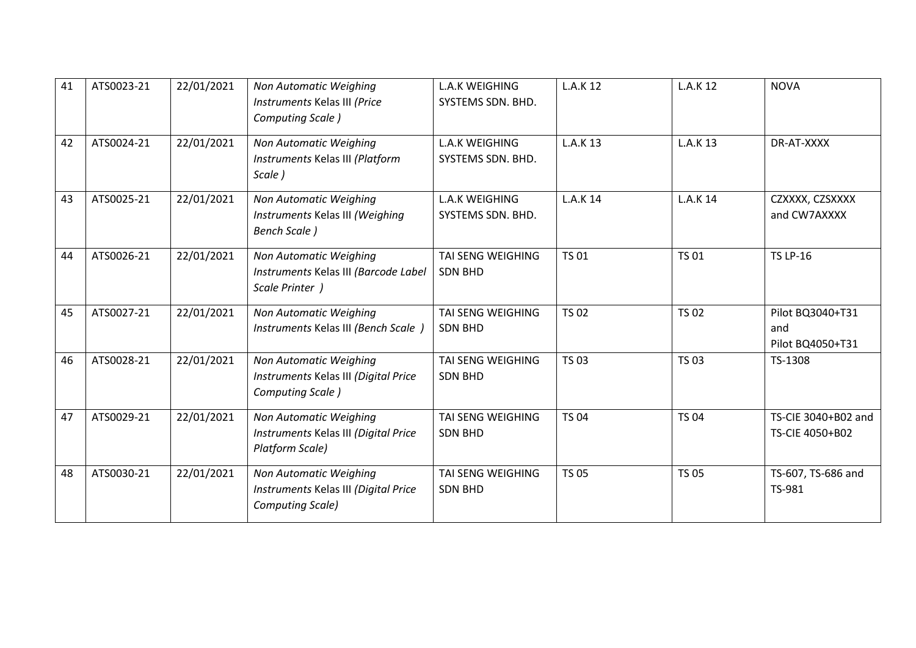| 41 | ATS0023-21 | 22/01/2021 | Non Automatic Weighing<br>Instruments Kelas III (Price<br>Computing Scale)         | <b>L.A.K WEIGHING</b><br>SYSTEMS SDN. BHD. | <b>L.A.K 12</b> | L.A.K 12        | <b>NOVA</b>                                 |
|----|------------|------------|------------------------------------------------------------------------------------|--------------------------------------------|-----------------|-----------------|---------------------------------------------|
| 42 | ATS0024-21 | 22/01/2021 | Non Automatic Weighing<br>Instruments Kelas III (Platform<br>Scale)                | <b>L.A.K WEIGHING</b><br>SYSTEMS SDN. BHD. | L.A.K 13        | L.A.K 13        | DR-AT-XXXX                                  |
| 43 | ATS0025-21 | 22/01/2021 | Non Automatic Weighing<br>Instruments Kelas III (Weighing<br><b>Bench Scale</b> )  | <b>L.A.K WEIGHING</b><br>SYSTEMS SDN. BHD. | <b>L.A.K 14</b> | <b>L.A.K 14</b> | CZXXXX, CZSXXXX<br>and CW7AXXXX             |
| 44 | ATS0026-21 | 22/01/2021 | Non Automatic Weighing<br>Instruments Kelas III (Barcode Label<br>Scale Printer )  | TAI SENG WEIGHING<br><b>SDN BHD</b>        | <b>TS 01</b>    | <b>TS 01</b>    | <b>TS LP-16</b>                             |
| 45 | ATS0027-21 | 22/01/2021 | Non Automatic Weighing<br>Instruments Kelas III (Bench Scale )                     | <b>TAI SENG WEIGHING</b><br><b>SDN BHD</b> | <b>TS 02</b>    | <b>TS 02</b>    | Pilot BQ3040+T31<br>and<br>Pilot BQ4050+T31 |
| 46 | ATS0028-21 | 22/01/2021 | Non Automatic Weighing<br>Instruments Kelas III (Digital Price<br>Computing Scale) | <b>TAI SENG WEIGHING</b><br><b>SDN BHD</b> | <b>TS 03</b>    | <b>TS 03</b>    | TS-1308                                     |
| 47 | ATS0029-21 | 22/01/2021 | Non Automatic Weighing<br>Instruments Kelas III (Digital Price<br>Platform Scale)  | TAI SENG WEIGHING<br><b>SDN BHD</b>        | <b>TS 04</b>    | <b>TS 04</b>    | TS-CIE 3040+B02 and<br>TS-CIE 4050+B02      |
| 48 | ATS0030-21 | 22/01/2021 | Non Automatic Weighing<br>Instruments Kelas III (Digital Price<br>Computing Scale) | TAI SENG WEIGHING<br><b>SDN BHD</b>        | <b>TS 05</b>    | <b>TS 05</b>    | TS-607, TS-686 and<br>TS-981                |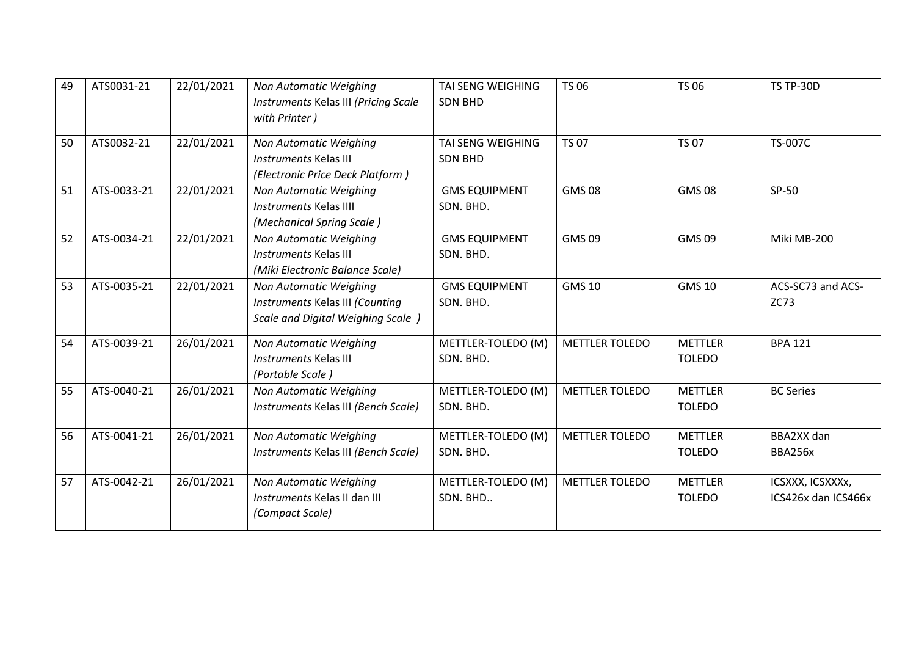| 49 | ATS0031-21  | 22/01/2021 | Non Automatic Weighing<br>Instruments Kelas III (Pricing Scale<br>with Printer)                 | TAI SENG WEIGHING<br><b>SDN BHD</b> | TS 06                 | <b>TS 06</b>                    | <b>TS TP-30D</b>                        |
|----|-------------|------------|-------------------------------------------------------------------------------------------------|-------------------------------------|-----------------------|---------------------------------|-----------------------------------------|
| 50 | ATS0032-21  | 22/01/2021 | Non Automatic Weighing<br>Instruments Kelas III<br>(Electronic Price Deck Platform)             | TAI SENG WEIGHING<br><b>SDN BHD</b> | <b>TS 07</b>          | <b>TS 07</b>                    | <b>TS-007C</b>                          |
| 51 | ATS-0033-21 | 22/01/2021 | Non Automatic Weighing<br><b>Instruments Kelas IIII</b><br>(Mechanical Spring Scale)            | <b>GMS EQUIPMENT</b><br>SDN. BHD.   | <b>GMS08</b>          | <b>GMS08</b>                    | SP-50                                   |
| 52 | ATS-0034-21 | 22/01/2021 | Non Automatic Weighing<br><b>Instruments Kelas III</b><br>(Miki Electronic Balance Scale)       | <b>GMS EQUIPMENT</b><br>SDN. BHD.   | <b>GMS09</b>          | <b>GMS 09</b>                   | Miki MB-200                             |
| 53 | ATS-0035-21 | 22/01/2021 | Non Automatic Weighing<br>Instruments Kelas III (Counting<br>Scale and Digital Weighing Scale ) | <b>GMS EQUIPMENT</b><br>SDN. BHD.   | <b>GMS 10</b>         | <b>GMS 10</b>                   | ACS-SC73 and ACS-<br><b>ZC73</b>        |
| 54 | ATS-0039-21 | 26/01/2021 | Non Automatic Weighing<br><b>Instruments Kelas III</b><br>(Portable Scale)                      | METTLER-TOLEDO (M)<br>SDN. BHD.     | <b>METTLER TOLEDO</b> | <b>METTLER</b><br><b>TOLEDO</b> | <b>BPA 121</b>                          |
| 55 | ATS-0040-21 | 26/01/2021 | Non Automatic Weighing<br>Instruments Kelas III (Bench Scale)                                   | METTLER-TOLEDO (M)<br>SDN. BHD.     | <b>METTLER TOLEDO</b> | <b>METTLER</b><br><b>TOLEDO</b> | <b>BC Series</b>                        |
| 56 | ATS-0041-21 | 26/01/2021 | Non Automatic Weighing<br>Instruments Kelas III (Bench Scale)                                   | METTLER-TOLEDO (M)<br>SDN. BHD.     | METTLER TOLEDO        | <b>METTLER</b><br><b>TOLEDO</b> | BBA2XX dan<br>BBA256x                   |
| 57 | ATS-0042-21 | 26/01/2021 | Non Automatic Weighing<br>Instruments Kelas II dan III<br>(Compact Scale)                       | METTLER-TOLEDO (M)<br>SDN. BHD      | <b>METTLER TOLEDO</b> | <b>METTLER</b><br><b>TOLEDO</b> | ICSXXX, ICSXXXx,<br>ICS426x dan ICS466x |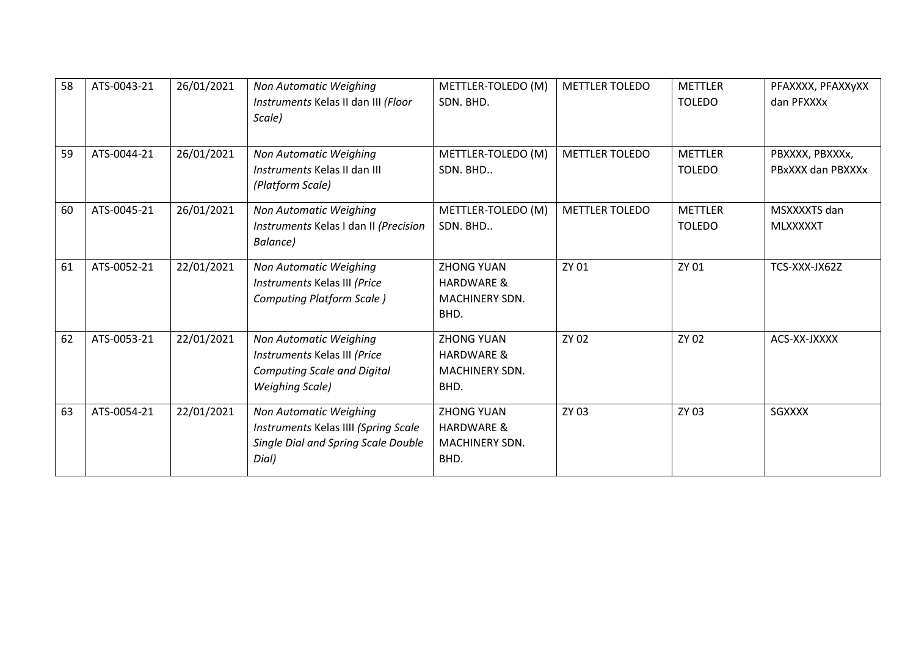| 58 | ATS-0043-21 | 26/01/2021 | Non Automatic Weighing<br>Instruments Kelas II dan III (Floor<br>Scale)                                                | METTLER-TOLEDO (M)<br>SDN. BHD.                                      | <b>METTLER TOLEDO</b> | <b>METTLER</b><br><b>TOLEDO</b> | PFAXXXX, PFAXXyXX<br>dan PFXXXx      |
|----|-------------|------------|------------------------------------------------------------------------------------------------------------------------|----------------------------------------------------------------------|-----------------------|---------------------------------|--------------------------------------|
| 59 | ATS-0044-21 | 26/01/2021 | <b>Non Automatic Weighing</b><br>Instruments Kelas II dan III<br>(Platform Scale)                                      | METTLER-TOLEDO (M)<br>SDN. BHD                                       | <b>METTLER TOLEDO</b> | <b>METTLER</b><br><b>TOLEDO</b> | PBXXXX, PBXXXx,<br>PBxXXX dan PBXXXx |
| 60 | ATS-0045-21 | 26/01/2021 | <b>Non Automatic Weighing</b><br>Instruments Kelas I dan II (Precision<br>Balance)                                     | METTLER-TOLEDO (M)<br>SDN. BHD                                       | <b>METTLER TOLEDO</b> | <b>METTLER</b><br><b>TOLEDO</b> | MSXXXXTS dan<br><b>MLXXXXXT</b>      |
| 61 | ATS-0052-21 | 22/01/2021 | <b>Non Automatic Weighing</b><br>Instruments Kelas III (Price<br>Computing Platform Scale)                             | <b>ZHONG YUAN</b><br><b>HARDWARE &amp;</b><br>MACHINERY SDN.<br>BHD. | ZY 01                 | ZY 01                           | TCS-XXX-JX62Z                        |
| 62 | ATS-0053-21 | 22/01/2021 | Non Automatic Weighing<br>Instruments Kelas III (Price<br><b>Computing Scale and Digital</b><br><b>Weighing Scale)</b> | <b>ZHONG YUAN</b><br><b>HARDWARE &amp;</b><br>MACHINERY SDN.<br>BHD. | ZY 02                 | ZY 02                           | ACS-XX-JXXXX                         |
| 63 | ATS-0054-21 | 22/01/2021 | <b>Non Automatic Weighing</b><br>Instruments Kelas IIII (Spring Scale<br>Single Dial and Spring Scale Double<br>Dial)  | <b>ZHONG YUAN</b><br><b>HARDWARE &amp;</b><br>MACHINERY SDN.<br>BHD. | ZY 03                 | ZY 03                           | <b>SGXXXX</b>                        |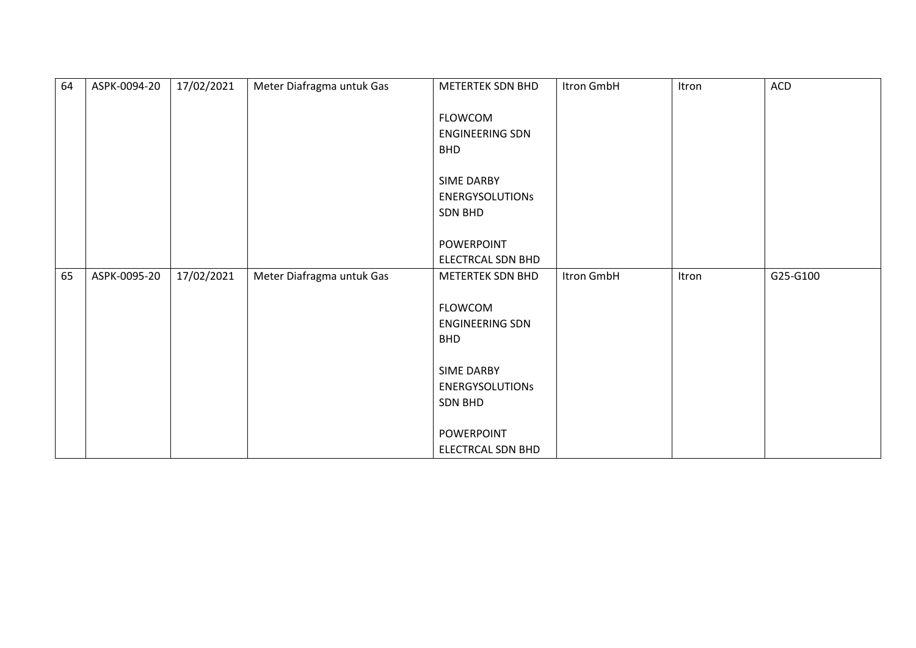| 64 | ASPK-0094-20 | 17/02/2021 | Meter Diafragma untuk Gas | METERTEK SDN BHD       | Itron GmbH | Itron | ACD      |
|----|--------------|------------|---------------------------|------------------------|------------|-------|----------|
|    |              |            |                           |                        |            |       |          |
|    |              |            |                           | <b>FLOWCOM</b>         |            |       |          |
|    |              |            |                           | ENGINEERING SDN        |            |       |          |
|    |              |            |                           | <b>BHD</b>             |            |       |          |
|    |              |            |                           |                        |            |       |          |
|    |              |            |                           | SIME DARBY             |            |       |          |
|    |              |            |                           | <b>ENERGYSOLUTIONS</b> |            |       |          |
|    |              |            |                           | <b>SDN BHD</b>         |            |       |          |
|    |              |            |                           |                        |            |       |          |
|    |              |            |                           | POWERPOINT             |            |       |          |
|    |              |            |                           | ELECTRCAL SDN BHD      |            |       |          |
| 65 | ASPK-0095-20 | 17/02/2021 | Meter Diafragma untuk Gas | METERTEK SDN BHD       | Itron GmbH | Itron | G25-G100 |
|    |              |            |                           |                        |            |       |          |
|    |              |            |                           | FLOWCOM                |            |       |          |
|    |              |            |                           | ENGINEERING SDN        |            |       |          |
|    |              |            |                           | <b>BHD</b>             |            |       |          |
|    |              |            |                           |                        |            |       |          |
|    |              |            |                           | <b>SIME DARBY</b>      |            |       |          |
|    |              |            |                           | <b>ENERGYSOLUTIONS</b> |            |       |          |
|    |              |            |                           | <b>SDN BHD</b>         |            |       |          |
|    |              |            |                           |                        |            |       |          |
|    |              |            |                           | POWERPOINT             |            |       |          |
|    |              |            |                           | ELECTRCAL SDN BHD      |            |       |          |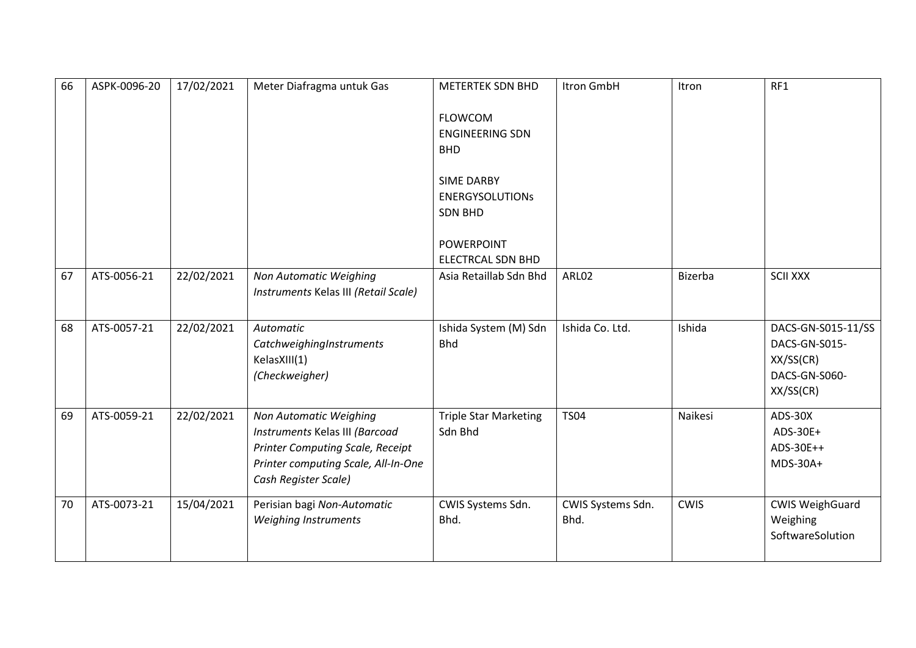| 66 | ASPK-0096-20 | 17/02/2021 | Meter Diafragma untuk Gas               | <b>METERTEK SDN BHD</b>      | Itron GmbH        | Itron       | RF1                    |
|----|--------------|------------|-----------------------------------------|------------------------------|-------------------|-------------|------------------------|
|    |              |            |                                         | <b>FLOWCOM</b>               |                   |             |                        |
|    |              |            |                                         | <b>ENGINEERING SDN</b>       |                   |             |                        |
|    |              |            |                                         | <b>BHD</b>                   |                   |             |                        |
|    |              |            |                                         | SIME DARBY                   |                   |             |                        |
|    |              |            |                                         | <b>ENERGYSOLUTIONS</b>       |                   |             |                        |
|    |              |            |                                         | <b>SDN BHD</b>               |                   |             |                        |
|    |              |            |                                         | <b>POWERPOINT</b>            |                   |             |                        |
|    |              |            |                                         | <b>ELECTRCAL SDN BHD</b>     |                   |             |                        |
| 67 | ATS-0056-21  | 22/02/2021 | <b>Non Automatic Weighing</b>           | Asia Retaillab Sdn Bhd       | ARL02             | Bizerba     | <b>SCII XXX</b>        |
|    |              |            | Instruments Kelas III (Retail Scale)    |                              |                   |             |                        |
|    |              |            |                                         |                              |                   |             |                        |
| 68 | ATS-0057-21  | 22/02/2021 | Automatic                               | Ishida System (M) Sdn        | Ishida Co. Ltd.   | Ishida      | DACS-GN-S015-11/SS     |
|    |              |            | CatchweighingInstruments                | <b>Bhd</b>                   |                   |             | DACS-GN-S015-          |
|    |              |            | KelasXIII(1)                            |                              |                   |             | XX/SS(CR)              |
|    |              |            | (Checkweigher)                          |                              |                   |             | DACS-GN-S060-          |
|    |              |            |                                         |                              |                   |             | XX/SS(CR)              |
| 69 | ATS-0059-21  | 22/02/2021 | <b>Non Automatic Weighing</b>           | <b>Triple Star Marketing</b> | <b>TS04</b>       | Naikesi     | ADS-30X                |
|    |              |            | Instruments Kelas III (Barcoad          | Sdn Bhd                      |                   |             | ADS-30E+               |
|    |              |            | <b>Printer Computing Scale, Receipt</b> |                              |                   |             | ADS-30E++              |
|    |              |            | Printer computing Scale, All-In-One     |                              |                   |             | MDS-30A+               |
|    |              |            | Cash Register Scale)                    |                              |                   |             |                        |
| 70 | ATS-0073-21  | 15/04/2021 | Perisian bagi Non-Automatic             | CWIS Systems Sdn.            | CWIS Systems Sdn. | <b>CWIS</b> | <b>CWIS WeighGuard</b> |
|    |              |            | Weighing Instruments                    | Bhd.                         | Bhd.              |             | Weighing               |
|    |              |            |                                         |                              |                   |             | SoftwareSolution       |
|    |              |            |                                         |                              |                   |             |                        |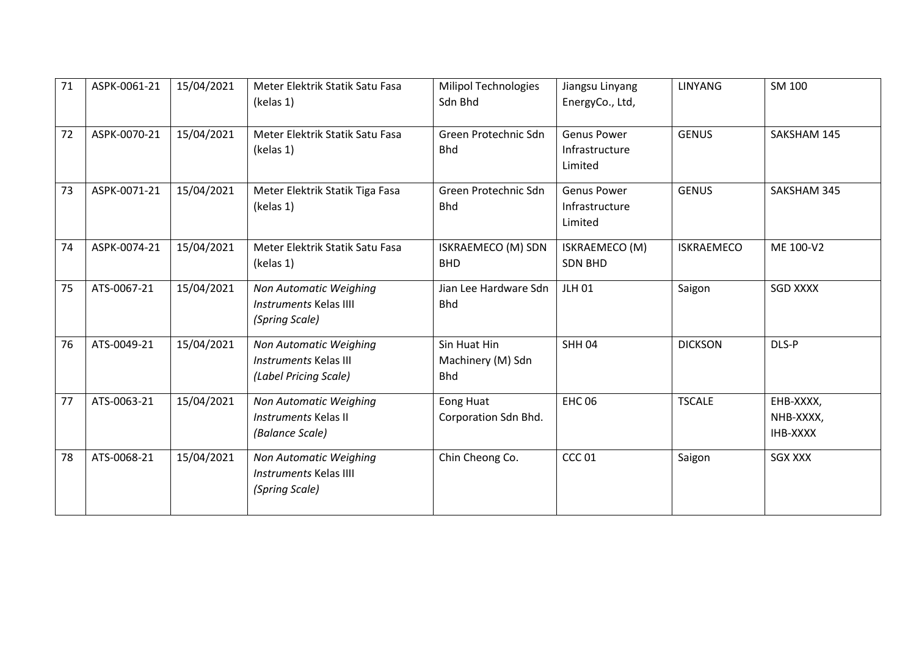| 71 | ASPK-0061-21 | 15/04/2021 | Meter Elektrik Statik Satu Fasa<br>(kelas 1)                                    | <b>Milipol Technologies</b><br>Sdn Bhd          | Jiangsu Linyang<br>EnergyCo., Ltd,              | <b>LINYANG</b>    | SM 100                             |
|----|--------------|------------|---------------------------------------------------------------------------------|-------------------------------------------------|-------------------------------------------------|-------------------|------------------------------------|
| 72 | ASPK-0070-21 | 15/04/2021 | Meter Elektrik Statik Satu Fasa<br>(kelas 1)                                    | Green Protechnic Sdn<br><b>Bhd</b>              | <b>Genus Power</b><br>Infrastructure<br>Limited | <b>GENUS</b>      | SAKSHAM 145                        |
| 73 | ASPK-0071-21 | 15/04/2021 | Meter Elektrik Statik Tiga Fasa<br>(kelas 1)                                    | Green Protechnic Sdn<br><b>Bhd</b>              | Genus Power<br>Infrastructure<br>Limited        | <b>GENUS</b>      | SAKSHAM 345                        |
| 74 | ASPK-0074-21 | 15/04/2021 | Meter Elektrik Statik Satu Fasa<br>(kelas 1)                                    | ISKRAEMECO (M) SDN<br><b>BHD</b>                | ISKRAEMECO (M)<br><b>SDN BHD</b>                | <b>ISKRAEMECO</b> | ME 100-V2                          |
| 75 | ATS-0067-21  | 15/04/2021 | Non Automatic Weighing<br><b>Instruments Kelas IIII</b><br>(Spring Scale)       | Jian Lee Hardware Sdn<br><b>Bhd</b>             | <b>JLH 01</b>                                   | Saigon            | <b>SGD XXXX</b>                    |
| 76 | ATS-0049-21  | 15/04/2021 | Non Automatic Weighing<br><b>Instruments Kelas III</b><br>(Label Pricing Scale) | Sin Huat Hin<br>Machinery (M) Sdn<br><b>Bhd</b> | <b>SHH 04</b>                                   | <b>DICKSON</b>    | DLS-P                              |
| 77 | ATS-0063-21  | 15/04/2021 | Non Automatic Weighing<br>Instruments Kelas II<br>(Balance Scale)               | Eong Huat<br>Corporation Sdn Bhd.               | <b>EHC 06</b>                                   | <b>TSCALE</b>     | EHB-XXXX,<br>NHB-XXXX,<br>IHB-XXXX |
| 78 | ATS-0068-21  | 15/04/2021 | Non Automatic Weighing<br>Instruments Kelas IIII<br>(Spring Scale)              | Chin Cheong Co.                                 | <b>CCC 01</b>                                   | Saigon            | <b>SGX XXX</b>                     |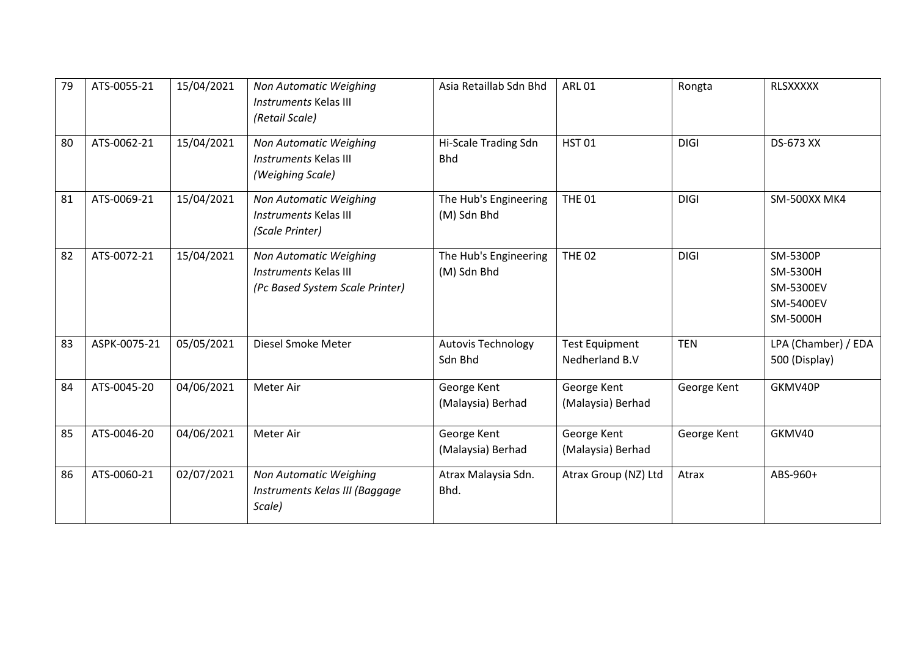| 79 | ATS-0055-21  | 15/04/2021 | Non Automatic Weighing<br><b>Instruments Kelas III</b><br>(Retail Scale)                  | Asia Retaillab Sdn Bhd               | <b>ARL 01</b>                           | Rongta      | <b>RLSXXXXX</b>                                                   |
|----|--------------|------------|-------------------------------------------------------------------------------------------|--------------------------------------|-----------------------------------------|-------------|-------------------------------------------------------------------|
| 80 | ATS-0062-21  | 15/04/2021 | Non Automatic Weighing<br><b>Instruments Kelas III</b><br>(Weighing Scale)                | Hi-Scale Trading Sdn<br><b>Bhd</b>   | <b>HST01</b>                            | <b>DIGI</b> | <b>DS-673 XX</b>                                                  |
| 81 | ATS-0069-21  | 15/04/2021 | Non Automatic Weighing<br><b>Instruments Kelas III</b><br>(Scale Printer)                 | The Hub's Engineering<br>(M) Sdn Bhd | <b>THE 01</b>                           | <b>DIGI</b> | SM-500XX MK4                                                      |
| 82 | ATS-0072-21  | 15/04/2021 | Non Automatic Weighing<br><b>Instruments Kelas III</b><br>(Pc Based System Scale Printer) | The Hub's Engineering<br>(M) Sdn Bhd | <b>THE 02</b>                           | <b>DIGI</b> | SM-5300P<br>SM-5300H<br><b>SM-5300EV</b><br>SM-5400EV<br>SM-5000H |
| 83 | ASPK-0075-21 | 05/05/2021 | Diesel Smoke Meter                                                                        | <b>Autovis Technology</b><br>Sdn Bhd | <b>Test Equipment</b><br>Nedherland B.V | <b>TEN</b>  | LPA (Chamber) / EDA<br>500 (Display)                              |
| 84 | ATS-0045-20  | 04/06/2021 | Meter Air                                                                                 | George Kent<br>(Malaysia) Berhad     | George Kent<br>(Malaysia) Berhad        | George Kent | GKMV40P                                                           |
| 85 | ATS-0046-20  | 04/06/2021 | Meter Air                                                                                 | George Kent<br>(Malaysia) Berhad     | George Kent<br>(Malaysia) Berhad        | George Kent | GKMV40                                                            |
| 86 | ATS-0060-21  | 02/07/2021 | Non Automatic Weighing<br>Instruments Kelas III (Baggage<br>Scale)                        | Atrax Malaysia Sdn.<br>Bhd.          | Atrax Group (NZ) Ltd                    | Atrax       | ABS-960+                                                          |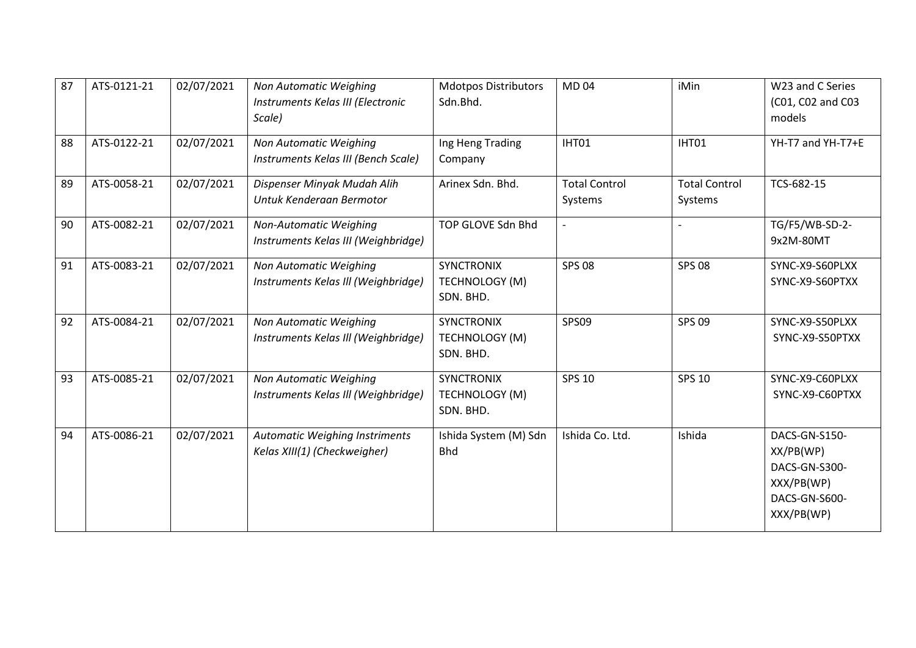| 87 | ATS-0121-21 | 02/07/2021 | <b>Non Automatic Weighing</b><br>Instruments Kelas III (Electronic<br>Scale) | <b>Mdotpos Distributors</b><br>Sdn.Bhd.          | <b>MD04</b>                     | iMin                            | W23 and C Series<br>(C01, C02 and C03<br>models                                          |
|----|-------------|------------|------------------------------------------------------------------------------|--------------------------------------------------|---------------------------------|---------------------------------|------------------------------------------------------------------------------------------|
| 88 | ATS-0122-21 | 02/07/2021 | Non Automatic Weighing<br>Instruments Kelas III (Bench Scale)                | Ing Heng Trading<br>Company                      | IHT01                           | IHT01                           | YH-T7 and YH-T7+E                                                                        |
| 89 | ATS-0058-21 | 02/07/2021 | Dispenser Minyak Mudah Alih<br>Untuk Kenderaan Bermotor                      | Arinex Sdn. Bhd.                                 | <b>Total Control</b><br>Systems | <b>Total Control</b><br>Systems | TCS-682-15                                                                               |
| 90 | ATS-0082-21 | 02/07/2021 | Non-Automatic Weighing<br>Instruments Kelas III (Weighbridge)                | TOP GLOVE Sdn Bhd                                | $\overline{\phantom{a}}$        |                                 | TG/F5/WB-SD-2-<br>9x2M-80MT                                                              |
| 91 | ATS-0083-21 | 02/07/2021 | Non Automatic Weighing<br>Instruments Kelas III (Weighbridge)                | <b>SYNCTRONIX</b><br>TECHNOLOGY (M)<br>SDN. BHD. | <b>SPS 08</b>                   | <b>SPS 08</b>                   | SYNC-X9-S60PLXX<br>SYNC-X9-S60PTXX                                                       |
| 92 | ATS-0084-21 | 02/07/2021 | Non Automatic Weighing<br>Instruments Kelas III (Weighbridge)                | <b>SYNCTRONIX</b><br>TECHNOLOGY (M)<br>SDN. BHD. | SPS09                           | <b>SPS 09</b>                   | SYNC-X9-S50PLXX<br>SYNC-X9-S50PTXX                                                       |
| 93 | ATS-0085-21 | 02/07/2021 | Non Automatic Weighing<br>Instruments Kelas III (Weighbridge)                | <b>SYNCTRONIX</b><br>TECHNOLOGY (M)<br>SDN. BHD. | <b>SPS 10</b>                   | <b>SPS 10</b>                   | SYNC-X9-C60PLXX<br>SYNC-X9-C60PTXX                                                       |
| 94 | ATS-0086-21 | 02/07/2021 | <b>Automatic Weighing Instriments</b><br>Kelas XIII(1) (Checkweigher)        | Ishida System (M) Sdn<br><b>Bhd</b>              | Ishida Co. Ltd.                 | Ishida                          | DACS-GN-S150-<br>XX/PB(WP)<br>DACS-GN-S300-<br>XXX/PB(WP)<br>DACS-GN-S600-<br>XXX/PB(WP) |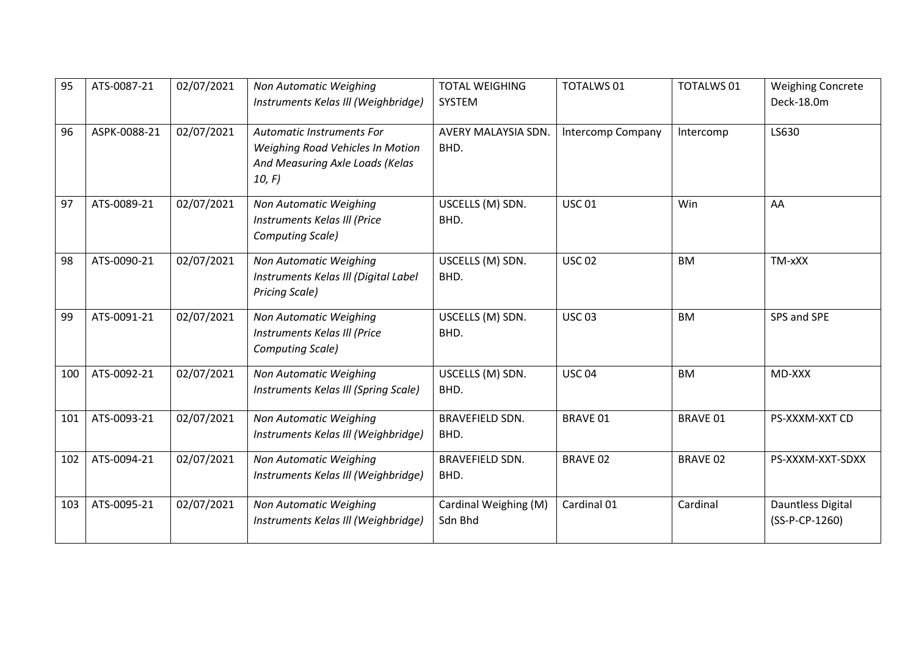| 95  | ATS-0087-21  | 02/07/2021 | Non Automatic Weighing<br>Instruments Kelas III (Weighbridge)                                                    | <b>TOTAL WEIGHING</b><br>SYSTEM  | <b>TOTALWS 01</b> | <b>TOTALWS 01</b> | <b>Weighing Concrete</b><br>Deck-18.0m |
|-----|--------------|------------|------------------------------------------------------------------------------------------------------------------|----------------------------------|-------------------|-------------------|----------------------------------------|
| 96  | ASPK-0088-21 | 02/07/2021 | <b>Automatic Instruments For</b><br>Weighing Road Vehicles In Motion<br>And Measuring Axle Loads (Kelas<br>10, F | AVERY MALAYSIA SDN.<br>BHD.      | Intercomp Company | Intercomp         | LS630                                  |
| 97  | ATS-0089-21  | 02/07/2021 | Non Automatic Weighing<br>Instruments Kelas III (Price<br>Computing Scale)                                       | USCELLS (M) SDN.<br>BHD.         | <b>USC 01</b>     | Win               | AA                                     |
| 98  | ATS-0090-21  | 02/07/2021 | Non Automatic Weighing<br>Instruments Kelas III (Digital Label<br><b>Pricing Scale)</b>                          | USCELLS (M) SDN.<br>BHD.         | <b>USC 02</b>     | <b>BM</b>         | TM-xXX                                 |
| 99  | ATS-0091-21  | 02/07/2021 | Non Automatic Weighing<br>Instruments Kelas III (Price<br>Computing Scale)                                       | USCELLS (M) SDN.<br>BHD.         | <b>USC 03</b>     | <b>BM</b>         | SPS and SPE                            |
| 100 | ATS-0092-21  | 02/07/2021 | Non Automatic Weighing<br>Instruments Kelas III (Spring Scale)                                                   | USCELLS (M) SDN.<br>BHD.         | <b>USC 04</b>     | <b>BM</b>         | MD-XXX                                 |
| 101 | ATS-0093-21  | 02/07/2021 | Non Automatic Weighing<br>Instruments Kelas III (Weighbridge)                                                    | <b>BRAVEFIELD SDN.</b><br>BHD.   | <b>BRAVE 01</b>   | <b>BRAVE 01</b>   | PS-XXXM-XXT CD                         |
| 102 | ATS-0094-21  | 02/07/2021 | Non Automatic Weighing<br>Instruments Kelas III (Weighbridge)                                                    | <b>BRAVEFIELD SDN.</b><br>BHD.   | <b>BRAVE 02</b>   | <b>BRAVE 02</b>   | PS-XXXM-XXT-SDXX                       |
| 103 | ATS-0095-21  | 02/07/2021 | Non Automatic Weighing<br>Instruments Kelas III (Weighbridge)                                                    | Cardinal Weighing (M)<br>Sdn Bhd | Cardinal 01       | Cardinal          | Dauntless Digital<br>(SS-P-CP-1260)    |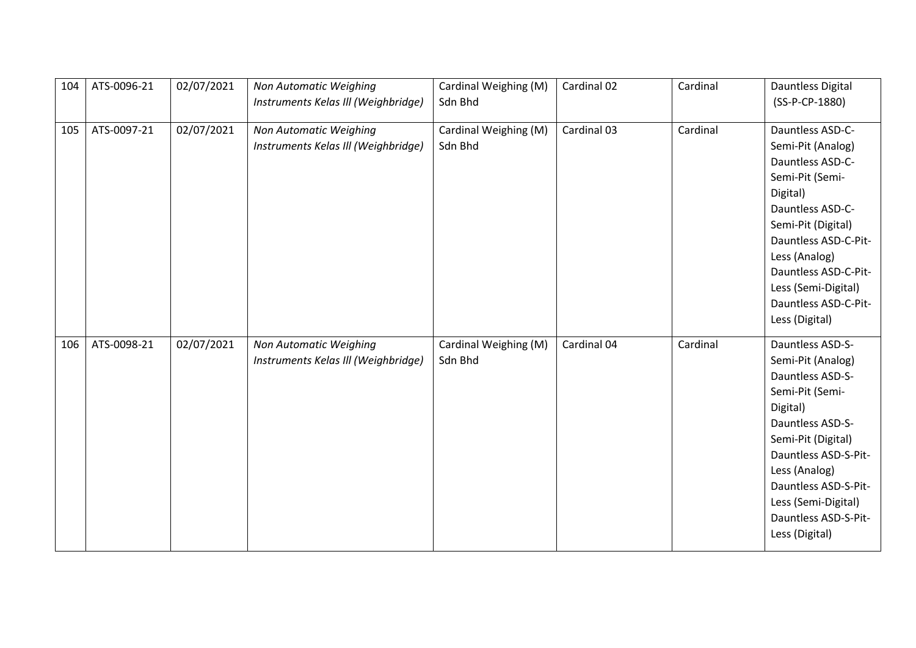| 104 | ATS-0096-21 | 02/07/2021 | Non Automatic Weighing              | Cardinal Weighing (M) | Cardinal 02 | Cardinal | Dauntless Digital    |
|-----|-------------|------------|-------------------------------------|-----------------------|-------------|----------|----------------------|
|     |             |            | Instruments Kelas III (Weighbridge) | Sdn Bhd               |             |          | (SS-P-CP-1880)       |
|     |             |            |                                     |                       |             |          |                      |
| 105 | ATS-0097-21 | 02/07/2021 | Non Automatic Weighing              | Cardinal Weighing (M) | Cardinal 03 | Cardinal | Dauntless ASD-C-     |
|     |             |            | Instruments Kelas III (Weighbridge) | Sdn Bhd               |             |          | Semi-Pit (Analog)    |
|     |             |            |                                     |                       |             |          | Dauntless ASD-C-     |
|     |             |            |                                     |                       |             |          | Semi-Pit (Semi-      |
|     |             |            |                                     |                       |             |          | Digital)             |
|     |             |            |                                     |                       |             |          | Dauntless ASD-C-     |
|     |             |            |                                     |                       |             |          | Semi-Pit (Digital)   |
|     |             |            |                                     |                       |             |          | Dauntless ASD-C-Pit- |
|     |             |            |                                     |                       |             |          | Less (Analog)        |
|     |             |            |                                     |                       |             |          | Dauntless ASD-C-Pit- |
|     |             |            |                                     |                       |             |          | Less (Semi-Digital)  |
|     |             |            |                                     |                       |             |          | Dauntless ASD-C-Pit- |
|     |             |            |                                     |                       |             |          |                      |
|     |             |            |                                     |                       |             |          | Less (Digital)       |
|     |             |            |                                     |                       |             |          |                      |
| 106 | ATS-0098-21 | 02/07/2021 | Non Automatic Weighing              | Cardinal Weighing (M) | Cardinal 04 | Cardinal | Dauntless ASD-S-     |
|     |             |            | Instruments Kelas III (Weighbridge) | Sdn Bhd               |             |          | Semi-Pit (Analog)    |
|     |             |            |                                     |                       |             |          | Dauntless ASD-S-     |
|     |             |            |                                     |                       |             |          | Semi-Pit (Semi-      |
|     |             |            |                                     |                       |             |          | Digital)             |
|     |             |            |                                     |                       |             |          | Dauntless ASD-S-     |
|     |             |            |                                     |                       |             |          | Semi-Pit (Digital)   |
|     |             |            |                                     |                       |             |          | Dauntless ASD-S-Pit- |
|     |             |            |                                     |                       |             |          | Less (Analog)        |
|     |             |            |                                     |                       |             |          | Dauntless ASD-S-Pit- |
|     |             |            |                                     |                       |             |          | Less (Semi-Digital)  |
|     |             |            |                                     |                       |             |          | Dauntless ASD-S-Pit- |
|     |             |            |                                     |                       |             |          | Less (Digital)       |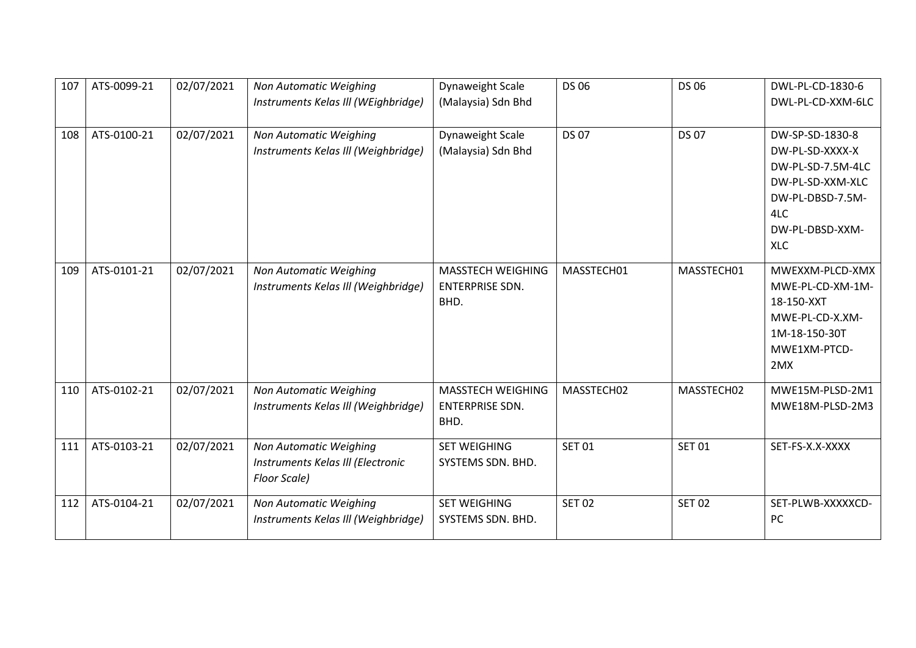| 107 | ATS-0099-21 | 02/07/2021 | <b>Non Automatic Weighing</b>       | Dynaweight Scale       | <b>DS 06</b>  | <b>DS 06</b>  | DWL-PL-CD-1830-6  |
|-----|-------------|------------|-------------------------------------|------------------------|---------------|---------------|-------------------|
|     |             |            | Instruments Kelas III (WEighbridge) | (Malaysia) Sdn Bhd     |               |               | DWL-PL-CD-XXM-6LC |
| 108 | ATS-0100-21 | 02/07/2021 | Non Automatic Weighing              | Dynaweight Scale       | <b>DS 07</b>  | <b>DS 07</b>  | DW-SP-SD-1830-8   |
|     |             |            | Instruments Kelas III (Weighbridge) | (Malaysia) Sdn Bhd     |               |               | DW-PL-SD-XXXX-X   |
|     |             |            |                                     |                        |               |               | DW-PL-SD-7.5M-4LC |
|     |             |            |                                     |                        |               |               | DW-PL-SD-XXM-XLC  |
|     |             |            |                                     |                        |               |               | DW-PL-DBSD-7.5M-  |
|     |             |            |                                     |                        |               |               | 4LC               |
|     |             |            |                                     |                        |               |               | DW-PL-DBSD-XXM-   |
|     |             |            |                                     |                        |               |               | <b>XLC</b>        |
| 109 | ATS-0101-21 | 02/07/2021 | Non Automatic Weighing              | MASSTECH WEIGHING      | MASSTECH01    | MASSTECH01    | MWEXXM-PLCD-XMX   |
|     |             |            | Instruments Kelas III (Weighbridge) | <b>ENTERPRISE SDN.</b> |               |               | MWE-PL-CD-XM-1M-  |
|     |             |            |                                     | BHD.                   |               |               | 18-150-XXT        |
|     |             |            |                                     |                        |               |               | MWE-PL-CD-X.XM-   |
|     |             |            |                                     |                        |               |               | 1M-18-150-30T     |
|     |             |            |                                     |                        |               |               | MWE1XM-PTCD-      |
|     |             |            |                                     |                        |               |               | 2MX               |
| 110 | ATS-0102-21 | 02/07/2021 | Non Automatic Weighing              | MASSTECH WEIGHING      | MASSTECH02    | MASSTECH02    | MWE15M-PLSD-2M1   |
|     |             |            | Instruments Kelas III (Weighbridge) | <b>ENTERPRISE SDN.</b> |               |               | MWE18M-PLSD-2M3   |
|     |             |            |                                     | BHD.                   |               |               |                   |
| 111 | ATS-0103-21 | 02/07/2021 | Non Automatic Weighing              | <b>SET WEIGHING</b>    | <b>SET 01</b> | <b>SET 01</b> | SET-FS-X.X-XXXX   |
|     |             |            | Instruments Kelas III (Electronic   | SYSTEMS SDN. BHD.      |               |               |                   |
|     |             |            | Floor Scale)                        |                        |               |               |                   |
| 112 | ATS-0104-21 | 02/07/2021 | Non Automatic Weighing              | <b>SET WEIGHING</b>    | <b>SET 02</b> | <b>SET 02</b> | SET-PLWB-XXXXXCD- |
|     |             |            | Instruments Kelas III (Weighbridge) | SYSTEMS SDN. BHD.      |               |               | PC                |
|     |             |            |                                     |                        |               |               |                   |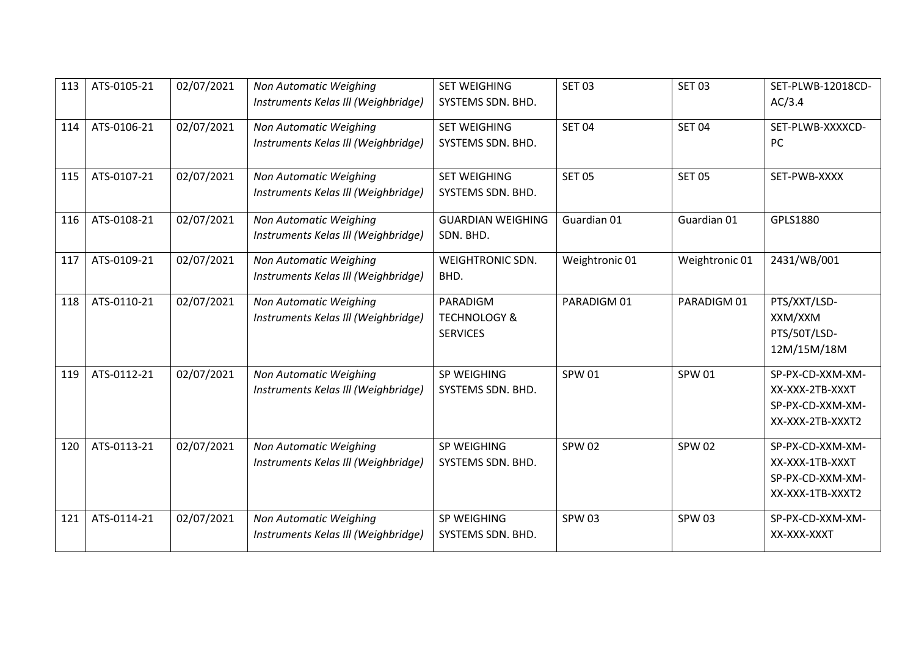| 113 | ATS-0105-21 | 02/07/2021 | Non Automatic Weighing<br>Instruments Kelas III (Weighbridge) | <b>SET WEIGHING</b><br>SYSTEMS SDN. BHD.               | <b>SET 03</b>  | <b>SET 03</b>  | SET-PLWB-12018CD-<br>AC/3.4                                                 |
|-----|-------------|------------|---------------------------------------------------------------|--------------------------------------------------------|----------------|----------------|-----------------------------------------------------------------------------|
| 114 | ATS-0106-21 | 02/07/2021 | Non Automatic Weighing<br>Instruments Kelas III (Weighbridge) | <b>SET WEIGHING</b><br>SYSTEMS SDN. BHD.               | <b>SET 04</b>  | <b>SET 04</b>  | SET-PLWB-XXXXCD-<br>PC                                                      |
| 115 | ATS-0107-21 | 02/07/2021 | Non Automatic Weighing<br>Instruments Kelas III (Weighbridge) | <b>SET WEIGHING</b><br>SYSTEMS SDN. BHD.               | <b>SET 05</b>  | <b>SET 05</b>  | SET-PWB-XXXX                                                                |
| 116 | ATS-0108-21 | 02/07/2021 | Non Automatic Weighing<br>Instruments Kelas III (Weighbridge) | <b>GUARDIAN WEIGHING</b><br>SDN. BHD.                  | Guardian 01    | Guardian 01    | GPLS1880                                                                    |
| 117 | ATS-0109-21 | 02/07/2021 | Non Automatic Weighing<br>Instruments Kelas III (Weighbridge) | WEIGHTRONIC SDN.<br>BHD.                               | Weightronic 01 | Weightronic 01 | 2431/WB/001                                                                 |
| 118 | ATS-0110-21 | 02/07/2021 | Non Automatic Weighing<br>Instruments Kelas III (Weighbridge) | PARADIGM<br><b>TECHNOLOGY &amp;</b><br><b>SERVICES</b> | PARADIGM 01    | PARADIGM 01    | PTS/XXT/LSD-<br>XXM/XXM<br>PTS/50T/LSD-<br>12M/15M/18M                      |
| 119 | ATS-0112-21 | 02/07/2021 | Non Automatic Weighing<br>Instruments Kelas III (Weighbridge) | SP WEIGHING<br>SYSTEMS SDN. BHD.                       | <b>SPW 01</b>  | <b>SPW 01</b>  | SP-PX-CD-XXM-XM-<br>XX-XXX-2TB-XXXT<br>SP-PX-CD-XXM-XM-<br>XX-XXX-2TB-XXXT2 |
| 120 | ATS-0113-21 | 02/07/2021 | Non Automatic Weighing<br>Instruments Kelas III (Weighbridge) | SP WEIGHING<br>SYSTEMS SDN. BHD.                       | <b>SPW 02</b>  | <b>SPW 02</b>  | SP-PX-CD-XXM-XM-<br>XX-XXX-1TB-XXXT<br>SP-PX-CD-XXM-XM-<br>XX-XXX-1TB-XXXT2 |
| 121 | ATS-0114-21 | 02/07/2021 | Non Automatic Weighing<br>Instruments Kelas III (Weighbridge) | SP WEIGHING<br>SYSTEMS SDN. BHD.                       | <b>SPW 03</b>  | <b>SPW 03</b>  | SP-PX-CD-XXM-XM-<br>XX-XXX-XXXT                                             |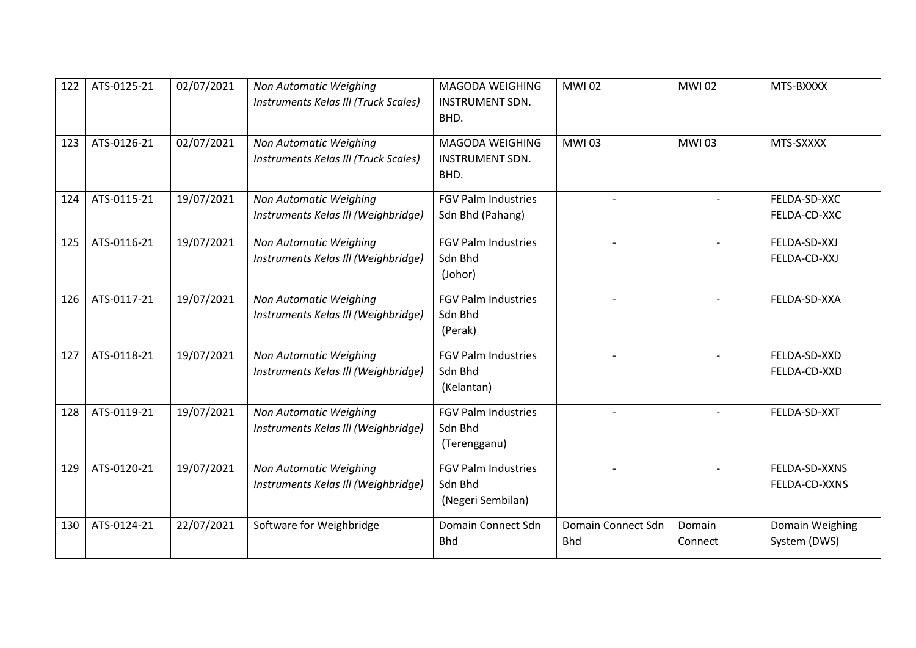| 122 | ATS-0125-21 | 02/07/2021 | Non Automatic Weighing<br>Instruments Kelas III (Truck Scales) | MAGODA WEIGHING<br><b>INSTRUMENT SDN.</b><br>BHD.          | <b>MWI02</b>                     | <b>MWI02</b>      | MTS-BXXXX                       |
|-----|-------------|------------|----------------------------------------------------------------|------------------------------------------------------------|----------------------------------|-------------------|---------------------------------|
| 123 | ATS-0126-21 | 02/07/2021 | Non Automatic Weighing<br>Instruments Kelas III (Truck Scales) | MAGODA WEIGHING<br><b>INSTRUMENT SDN.</b><br>BHD.          | <b>MWI03</b>                     | <b>MWI03</b>      | MTS-SXXXX                       |
| 124 | ATS-0115-21 | 19/07/2021 | Non Automatic Weighing<br>Instruments Kelas III (Weighbridge)  | <b>FGV Palm Industries</b><br>Sdn Bhd (Pahang)             |                                  |                   | FELDA-SD-XXC<br>FELDA-CD-XXC    |
| 125 | ATS-0116-21 | 19/07/2021 | Non Automatic Weighing<br>Instruments Kelas III (Weighbridge)  | <b>FGV Palm Industries</b><br>Sdn Bhd<br>(Johor)           |                                  | $\blacksquare$    | FELDA-SD-XXJ<br>FELDA-CD-XXJ    |
| 126 | ATS-0117-21 | 19/07/2021 | Non Automatic Weighing<br>Instruments Kelas III (Weighbridge)  | <b>FGV Palm Industries</b><br>Sdn Bhd<br>(Perak)           | $\overline{\phantom{a}}$         |                   | FELDA-SD-XXA                    |
| 127 | ATS-0118-21 | 19/07/2021 | Non Automatic Weighing<br>Instruments Kelas III (Weighbridge)  | <b>FGV Palm Industries</b><br>Sdn Bhd<br>(Kelantan)        |                                  |                   | FELDA-SD-XXD<br>FELDA-CD-XXD    |
| 128 | ATS-0119-21 | 19/07/2021 | Non Automatic Weighing<br>Instruments Kelas III (Weighbridge)  | <b>FGV Palm Industries</b><br>Sdn Bhd<br>(Terengganu)      |                                  |                   | FELDA-SD-XXT                    |
| 129 | ATS-0120-21 | 19/07/2021 | Non Automatic Weighing<br>Instruments Kelas III (Weighbridge)  | <b>FGV Palm Industries</b><br>Sdn Bhd<br>(Negeri Sembilan) |                                  |                   | FELDA-SD-XXNS<br>FELDA-CD-XXNS  |
| 130 | ATS-0124-21 | 22/07/2021 | Software for Weighbridge                                       | Domain Connect Sdn<br><b>Bhd</b>                           | Domain Connect Sdn<br><b>Bhd</b> | Domain<br>Connect | Domain Weighing<br>System (DWS) |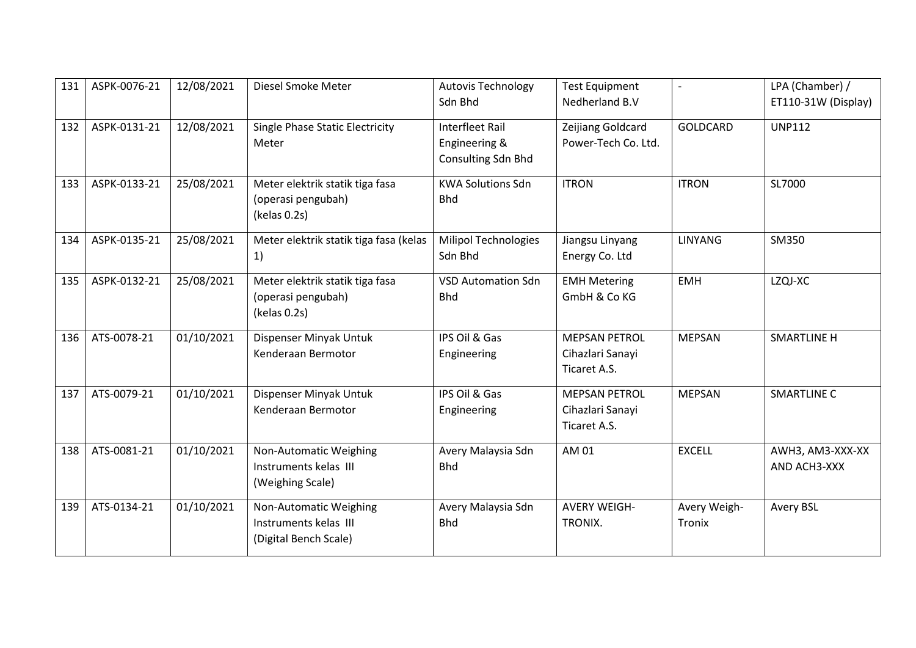| 131 | ASPK-0076-21 | 12/08/2021 | Diesel Smoke Meter                     | <b>Autovis Technology</b>   | <b>Test Equipment</b> |                 | LPA (Chamber) /     |
|-----|--------------|------------|----------------------------------------|-----------------------------|-----------------------|-----------------|---------------------|
|     |              |            |                                        | Sdn Bhd                     | Nedherland B.V        |                 | ET110-31W (Display) |
| 132 | ASPK-0131-21 | 12/08/2021 | Single Phase Static Electricity        | <b>Interfleet Rail</b>      | Zeijiang Goldcard     | <b>GOLDCARD</b> | <b>UNP112</b>       |
|     |              |            | Meter                                  | Engineering &               | Power-Tech Co. Ltd.   |                 |                     |
|     |              |            |                                        | Consulting Sdn Bhd          |                       |                 |                     |
| 133 | ASPK-0133-21 | 25/08/2021 | Meter elektrik statik tiga fasa        | <b>KWA Solutions Sdn</b>    | <b>ITRON</b>          | <b>ITRON</b>    | SL7000              |
|     |              |            | (operasi pengubah)                     | <b>Bhd</b>                  |                       |                 |                     |
|     |              |            | (kelas 0.2s)                           |                             |                       |                 |                     |
| 134 | ASPK-0135-21 | 25/08/2021 | Meter elektrik statik tiga fasa (kelas | <b>Milipol Technologies</b> | Jiangsu Linyang       | <b>LINYANG</b>  | SM350               |
|     |              |            | 1)                                     | Sdn Bhd                     | Energy Co. Ltd        |                 |                     |
| 135 | ASPK-0132-21 | 25/08/2021 | Meter elektrik statik tiga fasa        | <b>VSD Automation Sdn</b>   | <b>EMH Metering</b>   | <b>EMH</b>      | LZQJ-XC             |
|     |              |            | (operasi pengubah)                     | <b>Bhd</b>                  | GmbH & Co KG          |                 |                     |
|     |              |            | (kelas 0.2s)                           |                             |                       |                 |                     |
| 136 | ATS-0078-21  | 01/10/2021 | Dispenser Minyak Untuk                 | IPS Oil & Gas               | <b>MEPSAN PETROL</b>  | <b>MEPSAN</b>   | <b>SMARTLINE H</b>  |
|     |              |            | Kenderaan Bermotor                     | Engineering                 | Cihazlari Sanayi      |                 |                     |
|     |              |            |                                        |                             | Ticaret A.S.          |                 |                     |
| 137 | ATS-0079-21  | 01/10/2021 | Dispenser Minyak Untuk                 | IPS Oil & Gas               | <b>MEPSAN PETROL</b>  | <b>MEPSAN</b>   | <b>SMARTLINE C</b>  |
|     |              |            | Kenderaan Bermotor                     | Engineering                 | Cihazlari Sanayi      |                 |                     |
|     |              |            |                                        |                             | Ticaret A.S.          |                 |                     |
| 138 | ATS-0081-21  | 01/10/2021 | Non-Automatic Weighing                 | Avery Malaysia Sdn          | AM 01                 | <b>EXCELL</b>   | AWH3, AM3-XXX-XX    |
|     |              |            | Instruments kelas III                  | <b>Bhd</b>                  |                       |                 | AND ACH3-XXX        |
|     |              |            | (Weighing Scale)                       |                             |                       |                 |                     |
| 139 | ATS-0134-21  | 01/10/2021 | Non-Automatic Weighing                 | Avery Malaysia Sdn          | <b>AVERY WEIGH-</b>   | Avery Weigh-    | <b>Avery BSL</b>    |
|     |              |            | Instruments kelas III                  | <b>Bhd</b>                  | TRONIX.               | Tronix          |                     |
|     |              |            | (Digital Bench Scale)                  |                             |                       |                 |                     |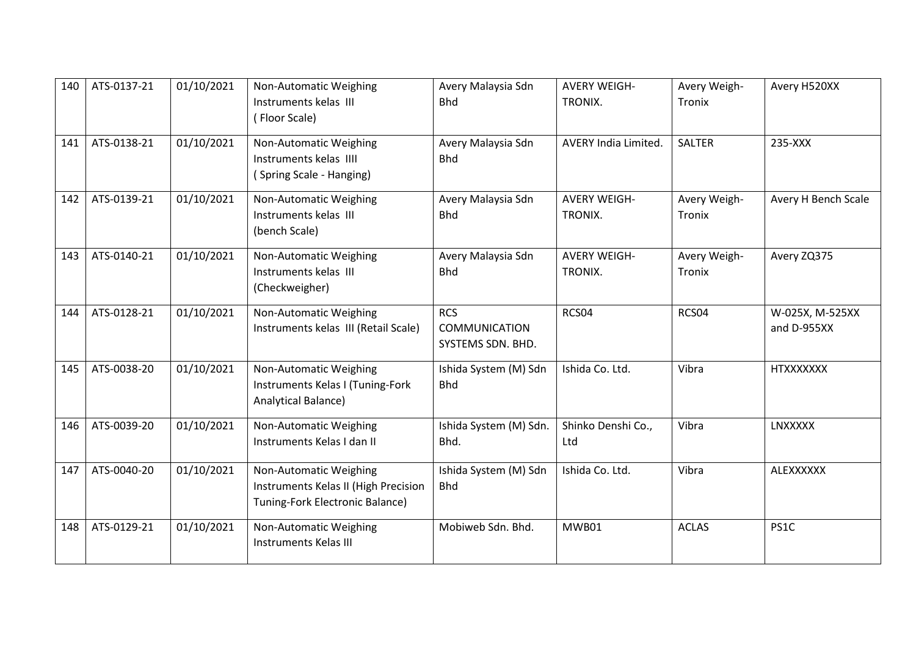| 140 | ATS-0137-21 | 01/10/2021 | Non-Automatic Weighing<br>Instruments kelas III<br>(Floor Scale)                                  | Avery Malaysia Sdn<br><b>Bhd</b>                        | <b>AVERY WEIGH-</b><br>TRONIX. | Avery Weigh-<br>Tronix | Avery H520XX                   |
|-----|-------------|------------|---------------------------------------------------------------------------------------------------|---------------------------------------------------------|--------------------------------|------------------------|--------------------------------|
| 141 | ATS-0138-21 | 01/10/2021 | Non-Automatic Weighing<br>Instruments kelas IIII<br>(Spring Scale - Hanging)                      | Avery Malaysia Sdn<br><b>Bhd</b>                        | <b>AVERY India Limited.</b>    | <b>SALTER</b>          | 235-XXX                        |
| 142 | ATS-0139-21 | 01/10/2021 | Non-Automatic Weighing<br>Instruments kelas III<br>(bench Scale)                                  | Avery Malaysia Sdn<br><b>Bhd</b>                        | <b>AVERY WEIGH-</b><br>TRONIX. | Avery Weigh-<br>Tronix | Avery H Bench Scale            |
| 143 | ATS-0140-21 | 01/10/2021 | Non-Automatic Weighing<br>Instruments kelas III<br>(Checkweigher)                                 | Avery Malaysia Sdn<br><b>Bhd</b>                        | <b>AVERY WEIGH-</b><br>TRONIX. | Avery Weigh-<br>Tronix | Avery ZQ375                    |
| 144 | ATS-0128-21 | 01/10/2021 | Non-Automatic Weighing<br>Instruments kelas III (Retail Scale)                                    | <b>RCS</b><br><b>COMMUNICATION</b><br>SYSTEMS SDN. BHD. | RCS04                          | RCS04                  | W-025X, M-525XX<br>and D-955XX |
| 145 | ATS-0038-20 | 01/10/2021 | Non-Automatic Weighing<br>Instruments Kelas I (Tuning-Fork<br>Analytical Balance)                 | Ishida System (M) Sdn<br><b>Bhd</b>                     | Ishida Co. Ltd.                | Vibra                  | <b>HTXXXXXXX</b>               |
| 146 | ATS-0039-20 | 01/10/2021 | Non-Automatic Weighing<br>Instruments Kelas I dan II                                              | Ishida System (M) Sdn.<br>Bhd.                          | Shinko Denshi Co.,<br>Ltd      | Vibra                  | LNXXXXX                        |
| 147 | ATS-0040-20 | 01/10/2021 | Non-Automatic Weighing<br>Instruments Kelas II (High Precision<br>Tuning-Fork Electronic Balance) | Ishida System (M) Sdn<br><b>Bhd</b>                     | Ishida Co. Ltd.                | Vibra                  | ALEXXXXXX                      |
| 148 | ATS-0129-21 | 01/10/2021 | Non-Automatic Weighing<br><b>Instruments Kelas III</b>                                            | Mobiweb Sdn. Bhd.                                       | MWB01                          | <b>ACLAS</b>           | PS1C                           |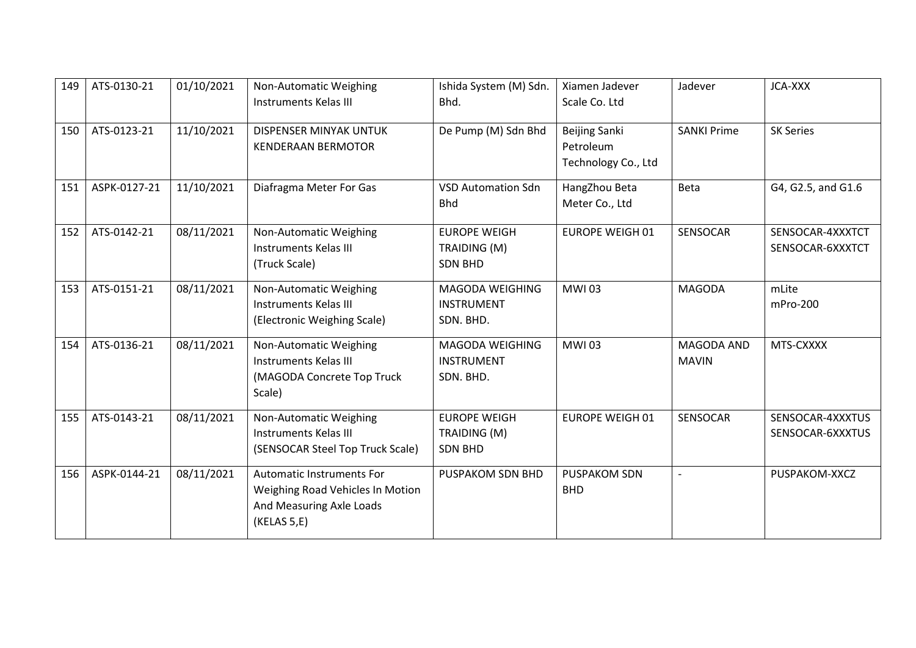| 149 | ATS-0130-21  | 01/10/2021 | Non-Automatic Weighing<br><b>Instruments Kelas III</b>                                                          | Ishida System (M) Sdn.<br>Bhd.                        | Xiamen Jadever<br>Scale Co. Ltd                   | Jadever                    | JCA-XXX                              |
|-----|--------------|------------|-----------------------------------------------------------------------------------------------------------------|-------------------------------------------------------|---------------------------------------------------|----------------------------|--------------------------------------|
| 150 | ATS-0123-21  | 11/10/2021 | DISPENSER MINYAK UNTUK<br><b>KENDERAAN BERMOTOR</b>                                                             | De Pump (M) Sdn Bhd                                   | Beijing Sanki<br>Petroleum<br>Technology Co., Ltd | <b>SANKI Prime</b>         | <b>SK Series</b>                     |
| 151 | ASPK-0127-21 | 11/10/2021 | Diafragma Meter For Gas                                                                                         | <b>VSD Automation Sdn</b><br><b>Bhd</b>               | HangZhou Beta<br>Meter Co., Ltd                   | Beta                       | G4, G2.5, and G1.6                   |
| 152 | ATS-0142-21  | 08/11/2021 | Non-Automatic Weighing<br><b>Instruments Kelas III</b><br>(Truck Scale)                                         | <b>EUROPE WEIGH</b><br>TRAIDING (M)<br><b>SDN BHD</b> | <b>EUROPE WEIGH 01</b>                            | SENSOCAR                   | SENSOCAR-4XXXTCT<br>SENSOCAR-6XXXTCT |
| 153 | ATS-0151-21  | 08/11/2021 | Non-Automatic Weighing<br><b>Instruments Kelas III</b><br>(Electronic Weighing Scale)                           | MAGODA WEIGHING<br><b>INSTRUMENT</b><br>SDN. BHD.     | <b>MWI03</b>                                      | <b>MAGODA</b>              | mLite<br>mPro-200                    |
| 154 | ATS-0136-21  | 08/11/2021 | Non-Automatic Weighing<br><b>Instruments Kelas III</b><br>(MAGODA Concrete Top Truck<br>Scale)                  | MAGODA WEIGHING<br><b>INSTRUMENT</b><br>SDN. BHD.     | <b>MWI03</b>                                      | MAGODA AND<br><b>MAVIN</b> | MTS-CXXXX                            |
| 155 | ATS-0143-21  | 08/11/2021 | Non-Automatic Weighing<br><b>Instruments Kelas III</b><br>(SENSOCAR Steel Top Truck Scale)                      | <b>EUROPE WEIGH</b><br>TRAIDING (M)<br><b>SDN BHD</b> | <b>EUROPE WEIGH 01</b>                            | SENSOCAR                   | SENSOCAR-4XXXTUS<br>SENSOCAR-6XXXTUS |
| 156 | ASPK-0144-21 | 08/11/2021 | <b>Automatic Instruments For</b><br>Weighing Road Vehicles In Motion<br>And Measuring Axle Loads<br>(KELAS 5,E) | PUSPAKOM SDN BHD                                      | <b>PUSPAKOM SDN</b><br><b>BHD</b>                 | $\overline{a}$             | PUSPAKOM-XXCZ                        |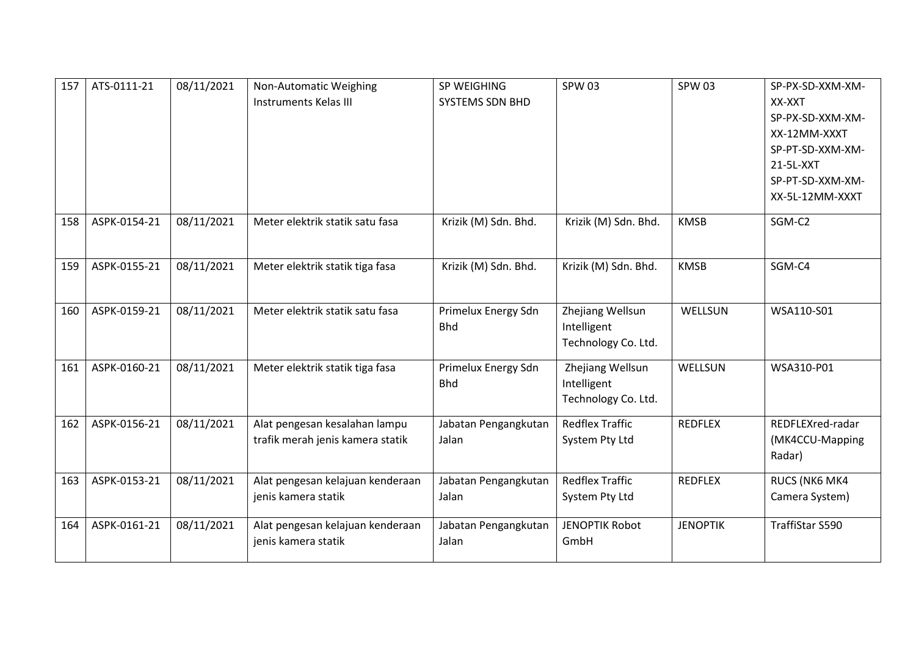| 157 | ATS-0111-21  | 08/11/2021 | Non-Automatic Weighing<br><b>Instruments Kelas III</b>            | SP WEIGHING<br>SYSTEMS SDN BHD    | <b>SPW03</b>                                           | <b>SPW 03</b>   | SP-PX-SD-XXM-XM-<br>XX-XXT<br>SP-PX-SD-XXM-XM-<br>XX-12MM-XXXT<br>SP-PT-SD-XXM-XM-<br>21-5L-XXT<br>SP-PT-SD-XXM-XM-<br>XX-5L-12MM-XXXT |
|-----|--------------|------------|-------------------------------------------------------------------|-----------------------------------|--------------------------------------------------------|-----------------|----------------------------------------------------------------------------------------------------------------------------------------|
| 158 | ASPK-0154-21 | 08/11/2021 | Meter elektrik statik satu fasa                                   | Krizik (M) Sdn. Bhd.              | Krizik (M) Sdn. Bhd.                                   | <b>KMSB</b>     | SGM-C2                                                                                                                                 |
| 159 | ASPK-0155-21 | 08/11/2021 | Meter elektrik statik tiga fasa                                   | Krizik (M) Sdn. Bhd.              | Krizik (M) Sdn. Bhd.                                   | <b>KMSB</b>     | SGM-C4                                                                                                                                 |
| 160 | ASPK-0159-21 | 08/11/2021 | Meter elektrik statik satu fasa                                   | Primelux Energy Sdn<br><b>Bhd</b> | Zhejiang Wellsun<br>Intelligent<br>Technology Co. Ltd. | WELLSUN         | WSA110-S01                                                                                                                             |
| 161 | ASPK-0160-21 | 08/11/2021 | Meter elektrik statik tiga fasa                                   | Primelux Energy Sdn<br><b>Bhd</b> | Zhejiang Wellsun<br>Intelligent<br>Technology Co. Ltd. | WELLSUN         | WSA310-P01                                                                                                                             |
| 162 | ASPK-0156-21 | 08/11/2021 | Alat pengesan kesalahan lampu<br>trafik merah jenis kamera statik | Jabatan Pengangkutan<br>Jalan     | <b>Redflex Traffic</b><br>System Pty Ltd               | <b>REDFLEX</b>  | REDFLEXred-radar<br>(MK4CCU-Mapping<br>Radar)                                                                                          |
| 163 | ASPK-0153-21 | 08/11/2021 | Alat pengesan kelajuan kenderaan<br>jenis kamera statik           | Jabatan Pengangkutan<br>Jalan     | <b>Redflex Traffic</b><br>System Pty Ltd               | <b>REDFLEX</b>  | RUCS (NK6 MK4<br>Camera System)                                                                                                        |
| 164 | ASPK-0161-21 | 08/11/2021 | Alat pengesan kelajuan kenderaan<br>jenis kamera statik           | Jabatan Pengangkutan<br>Jalan     | <b>JENOPTIK Robot</b><br>GmbH                          | <b>JENOPTIK</b> | TraffiStar S590                                                                                                                        |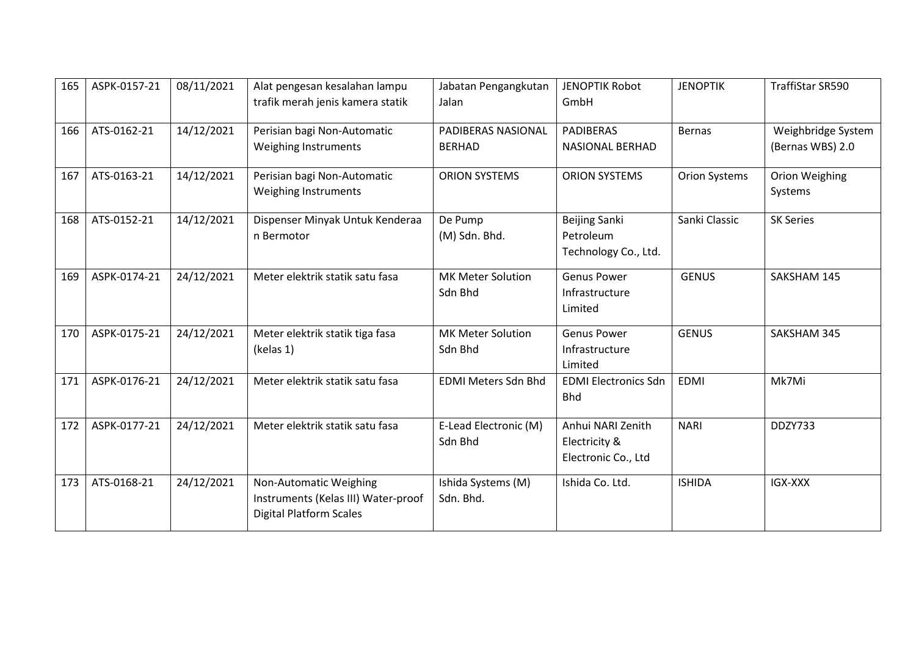| 165 | ASPK-0157-21 | 08/11/2021 | Alat pengesan kesalahan lampu<br>trafik merah jenis kamera statik                               | Jabatan Pengangkutan<br>Jalan       | <b>JENOPTIK Robot</b><br>GmbH                             | <b>JENOPTIK</b>      | TraffiStar SR590                       |
|-----|--------------|------------|-------------------------------------------------------------------------------------------------|-------------------------------------|-----------------------------------------------------------|----------------------|----------------------------------------|
| 166 | ATS-0162-21  | 14/12/2021 | Perisian bagi Non-Automatic<br>Weighing Instruments                                             | PADIBERAS NASIONAL<br><b>BERHAD</b> | <b>PADIBERAS</b><br><b>NASIONAL BERHAD</b>                | <b>Bernas</b>        | Weighbridge System<br>(Bernas WBS) 2.0 |
| 167 | ATS-0163-21  | 14/12/2021 | Perisian bagi Non-Automatic<br>Weighing Instruments                                             | <b>ORION SYSTEMS</b>                | <b>ORION SYSTEMS</b>                                      | <b>Orion Systems</b> | Orion Weighing<br>Systems              |
| 168 | ATS-0152-21  | 14/12/2021 | Dispenser Minyak Untuk Kenderaa<br>n Bermotor                                                   | De Pump<br>(M) Sdn. Bhd.            | <b>Beijing Sanki</b><br>Petroleum<br>Technology Co., Ltd. | Sanki Classic        | <b>SK Series</b>                       |
| 169 | ASPK-0174-21 | 24/12/2021 | Meter elektrik statik satu fasa                                                                 | <b>MK Meter Solution</b><br>Sdn Bhd | <b>Genus Power</b><br>Infrastructure<br>Limited           | <b>GENUS</b>         | SAKSHAM 145                            |
| 170 | ASPK-0175-21 | 24/12/2021 | Meter elektrik statik tiga fasa<br>(kelas 1)                                                    | <b>MK Meter Solution</b><br>Sdn Bhd | <b>Genus Power</b><br>Infrastructure<br>Limited           | <b>GENUS</b>         | SAKSHAM 345                            |
| 171 | ASPK-0176-21 | 24/12/2021 | Meter elektrik statik satu fasa                                                                 | <b>EDMI Meters Sdn Bhd</b>          | <b>EDMI Electronics Sdn</b><br><b>Bhd</b>                 | <b>EDMI</b>          | Mk7Mi                                  |
| 172 | ASPK-0177-21 | 24/12/2021 | Meter elektrik statik satu fasa                                                                 | E-Lead Electronic (M)<br>Sdn Bhd    | Anhui NARI Zenith<br>Electricity &<br>Electronic Co., Ltd | <b>NARI</b>          | DDZY733                                |
| 173 | ATS-0168-21  | 24/12/2021 | Non-Automatic Weighing<br>Instruments (Kelas III) Water-proof<br><b>Digital Platform Scales</b> | Ishida Systems (M)<br>Sdn. Bhd.     | Ishida Co. Ltd.                                           | <b>ISHIDA</b>        | IGX-XXX                                |